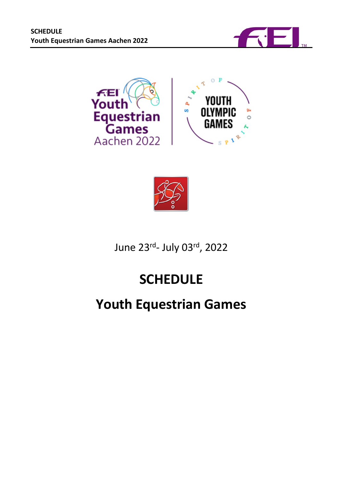

<span id="page-0-0"></span>



June 23rd- July 03rd, 2022

# **SCHEDULE**

# **Youth Equestrian Games**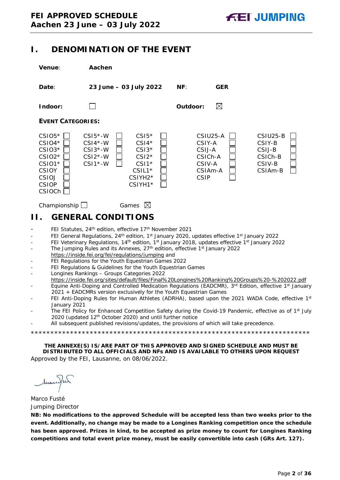# **I. DENOMINATION OF THE EVENT**

| Venue:                                                                                                             | Aachen                                                                                                                                                                          |                                                                                                       |                                                                                        |  |  |  |  |  |
|--------------------------------------------------------------------------------------------------------------------|---------------------------------------------------------------------------------------------------------------------------------------------------------------------------------|-------------------------------------------------------------------------------------------------------|----------------------------------------------------------------------------------------|--|--|--|--|--|
| Date:                                                                                                              | 23 June - 03 July 2022                                                                                                                                                          | NF:<br><b>GER</b>                                                                                     |                                                                                        |  |  |  |  |  |
| Indoor:                                                                                                            |                                                                                                                                                                                 | $\boxtimes$<br>Outdoor:                                                                               |                                                                                        |  |  |  |  |  |
|                                                                                                                    | <b>EVENT CATEGORIES:</b>                                                                                                                                                        |                                                                                                       |                                                                                        |  |  |  |  |  |
| $CSIO5*$<br>$CSIO4*$<br>$CSIO3*$<br>$CSIO2*$<br>$CSIO1*$<br><b>CSIOY</b><br>CSIOJ<br><b>CSIOP</b><br><b>CSIOCh</b> | $CSI5*$<br>$CSI5*-W$<br>$CSI4*-W$<br>$CSI4*$<br>$CSI3*-W$<br>$CSI3*$<br>$CSI2*-W$<br>$CSI2*$<br>$CSI1*$ -W<br>$CSI*$<br>$CSIL1*$<br>CSIYH <sub>2</sub> *<br>CSIYH1 <sup>*</sup> | CSIU25-A<br>CSIY-A<br>CSIJ-A<br>CSIC <sub>h</sub> -A<br>CSIV-A<br>CSIA <sub>m</sub> -A<br><b>CSIP</b> | CSIU25-B<br>CSIY-B<br>CSIJ-B<br>CSIC <sub>h</sub> -B<br>CSIV-B<br>CSIA <sub>m</sub> -B |  |  |  |  |  |

# <span id="page-1-0"></span>Championship  $\Box$  Games  $\boxtimes$ **II. GENERAL CONDITIONS**

- FEI Statutes, 24<sup>th</sup> edition, effective 17<sup>th</sup> November 2021
- FEI General Regulations, 24<sup>th</sup> edition, 1<sup>st</sup> January 2020, updates effective 1<sup>st</sup> January 2022
- FEI Veterinary Regulations, 14<sup>th</sup> edition, 1<sup>st</sup> January 2018, updates effective 1<sup>st</sup> January 2022
- The Jumping Rules and its Annexes, 27<sup>th</sup> edition, effective 1<sup>st</sup> January 2022 https://inside.fei.org/fei/regulations/jumping and
- FEI Regulations for the Youth Equestrian Games 2022
- FEI Regulations & Guidelines for the Youth Equestrian Games
- Longines Rankings Groups Categories 2022
- https://inside.fei.org/sites/default/files/Final%20Longines%20Ranking%20Groups%20-%202022.pdf
- Equine Anti-Doping and Controlled Medication Regulations (EADCMR), 3<sup>rd</sup> Edition, effective 1<sup>st</sup> January 2021 + EADCMRs version exclusively for the Youth Equestrian Games
- FEI Anti-Doping Rules for Human Athletes (ADRHA), based upon the 2021 WADA Code, effective 1st January 2021
- The FEI Policy for Enhanced Competition Safety during the Covid-19 Pandemic, effective as of 1<sup>st</sup> July 2020 (updated 12th October 2020) and until further notice
- All subsequent published revisions/updates, the provisions of which will take precedence.

\*\*\*\*\*\*\*\*\*\*\*\*\*\*\*\*\*\*\*\*\*\*\*\*\*\*\*\*\*\*\*\*\*\*\*\*\*\*\*\*\*\*\*\*\*\*\*\*\*\*\*\*\*\*\*\*\*\*\*\*\*\*\*\*\*\*\*\*\*\*\*

**THE ANNEXE(S) IS/ARE PART OF THIS APPROVED AND SIGNED SCHEDULE AND MUST BE DISTRIBUTED TO ALL OFFICIALS AND NFs AND IS AVAILABLE TO OTHERS UPON REQUEST** Approved by the FEI, Lausanne, on 08/06/2022.

Municipal

Marco Fusté Jumping Director

**NB: No modifications to the approved Schedule will be accepted less than two weeks prior to the event. Additionally, no change may be made to a Longines Ranking competition once the schedule has been approved. Prizes in kind, to be accepted as prize money to count for Longines Ranking competitions and total event prize money, must be easily convertible into cash (GRs Art. 127).**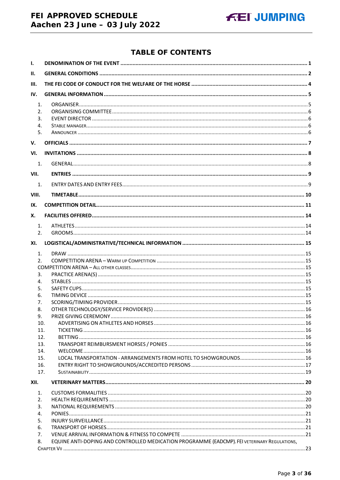# FEI APPROVED SCHEDULE Aachen 23 June - 03 July 2022

### **TABLE OF CONTENTS**

| Ι.                                     |                                                                                              |  |
|----------------------------------------|----------------------------------------------------------------------------------------------|--|
| II.                                    |                                                                                              |  |
| III.                                   |                                                                                              |  |
| IV.                                    |                                                                                              |  |
| $\mathbf{1}$ .<br>2.<br>3.<br>4.<br>5. |                                                                                              |  |
|                                        |                                                                                              |  |
| V.                                     |                                                                                              |  |
| VI.                                    |                                                                                              |  |
| 1.                                     |                                                                                              |  |
| VII.                                   |                                                                                              |  |
| 1.                                     |                                                                                              |  |
| VIII.                                  |                                                                                              |  |
| IX.                                    |                                                                                              |  |
| Х.                                     |                                                                                              |  |
|                                        |                                                                                              |  |
| $\mathbf{1}$ .<br>2.                   |                                                                                              |  |
|                                        |                                                                                              |  |
| XI.                                    |                                                                                              |  |
| 1.                                     |                                                                                              |  |
| 2.                                     |                                                                                              |  |
| 3.                                     |                                                                                              |  |
| 4.                                     |                                                                                              |  |
| 5.                                     |                                                                                              |  |
| 6.                                     |                                                                                              |  |
| 7.                                     |                                                                                              |  |
| 8.                                     |                                                                                              |  |
| 9.                                     |                                                                                              |  |
| 10.<br>11.                             |                                                                                              |  |
| 12.                                    |                                                                                              |  |
| 13.                                    |                                                                                              |  |
| 14.                                    |                                                                                              |  |
| 15.                                    |                                                                                              |  |
| 16.                                    |                                                                                              |  |
| 17.                                    |                                                                                              |  |
| XII.                                   |                                                                                              |  |
| 1.                                     |                                                                                              |  |
| 2.                                     |                                                                                              |  |
| 3.                                     |                                                                                              |  |
| 4.                                     |                                                                                              |  |
| 5.<br>6.                               |                                                                                              |  |
| 7.                                     |                                                                                              |  |
| 8.                                     | EQUINE ANTI-DOPING AND CONTROLLED MEDICATION PROGRAMME (EADCMP). FEI VETERINARY REGULATIONS, |  |
|                                        |                                                                                              |  |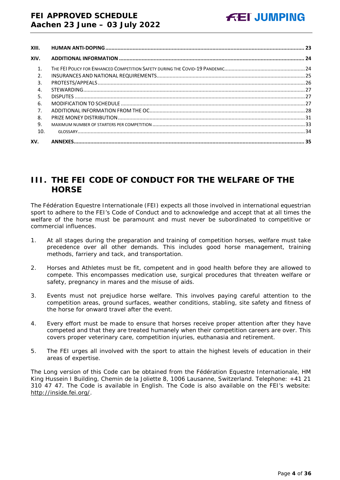| XIII.          |  |
|----------------|--|
| XIV.           |  |
| $\mathbf{1}$ . |  |
| 2.             |  |
| 3.             |  |
| 4.             |  |
| 5.             |  |
| 6.             |  |
| 7 <sub>1</sub> |  |
| 8.             |  |
| 9.             |  |
| 10.            |  |
| XV.            |  |

# <span id="page-3-0"></span>**III. THE FEI CODE OF CONDUCT FOR THE WELFARE OF THE HORSE**

The Fédération Equestre Internationale (FEI) expects all those involved in international equestrian sport to adhere to the FEI's Code of Conduct and to acknowledge and accept that at all times the welfare of the horse must be paramount and must never be subordinated to competitive or commercial influences.

- 1. At all stages during the preparation and training of competition horses, welfare must take precedence over all other demands. This includes good horse management, training methods, farriery and tack, and transportation.
- 2. Horses and Athletes must be fit, competent and in good health before they are allowed to compete. This encompasses medication use, surgical procedures that threaten welfare or safety, pregnancy in mares and the misuse of aids.
- 3. Events must not prejudice horse welfare. This involves paying careful attention to the competition areas, ground surfaces, weather conditions, stabling, site safety and fitness of the horse for onward travel after the event.
- 4. Every effort must be made to ensure that horses receive proper attention after they have competed and that they are treated humanely when their competition careers are over. This covers proper veterinary care, competition injuries, euthanasia and retirement.
- 5. The FEI urges all involved with the sport to attain the highest levels of education in their areas of expertise.

The Long version of this Code can be obtained from the Fédération Equestre Internationale, HM King Hussein I Building, Chemin de la Joliette 8, 1006 Lausanne, Switzerland. Telephone: +41 21 310 47 47. The Code is available in English. The Code is also available on the FEI's website: [http://inside.fei.org/.](http://inside.fei.org/)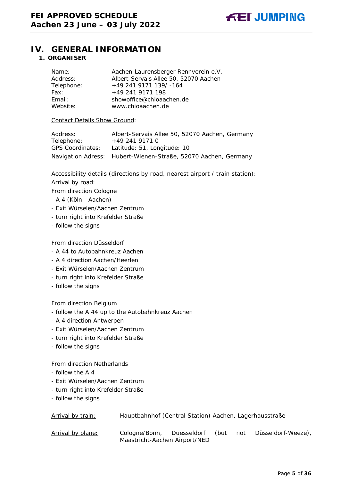

# <span id="page-4-1"></span><span id="page-4-0"></span>**IV. GENERAL INFORMATION**

#### **1. ORGANISER**

| Name:      | Aachen-Laurensberger Rennverein e.V.  |
|------------|---------------------------------------|
| Address:   | Albert-Servais Allee 50, 52070 Aachen |
| Telephone: | $+49$ 241 9171 139/-164               |
| Fax:       | +49 241 9171 198                      |
| Email:     | showoffice@chioaachen.de              |
| Website:   | www.chioaachen.de                     |

#### Contact Details Show Ground:

| Address:                | Albert-Servais Allee 50, 52070 Aachen, Germany                 |
|-------------------------|----------------------------------------------------------------|
| Telephone:              | +49 241 9171 0                                                 |
| <b>GPS Coordinates:</b> | Latitude: 51, Longitude: 10                                    |
|                         | Navigation Adress: Hubert-Wienen-Straße, 52070 Aachen, Germany |

Accessibility details (directions by road, nearest airport / train station):

#### Arrival by road:

From direction Cologne

- A 4 (Köln Aachen)
- Exit Würselen/Aachen Zentrum
- turn right into Krefelder Straße
- follow the signs

#### From direction Düsseldorf

- A 44 to Autobahnkreuz Aachen
- A 4 direction Aachen/Heerlen
- Exit Würselen/Aachen Zentrum
- turn right into Krefelder Straße
- follow the signs

#### From direction Belgium

- follow the A 44 up to the Autobahnkreuz Aachen
- A 4 direction Antwerpen
- Exit Würselen/Aachen Zentrum
- turn right into Krefelder Straße
- follow the signs

#### From direction Netherlands

- follow the A 4
- Exit Würselen/Aachen Zentrum
- turn right into Krefelder Straße
- follow the signs

| Arrival by train: | Hauptbahnhof (Central Station) Aachen, Lagerhausstraße     |      |     |                    |
|-------------------|------------------------------------------------------------|------|-----|--------------------|
| Arrival by plane: | Cologne/Bonn, Duesseldorf<br>Maastricht-Aachen Airport/NED | (but | not | Düsseldorf-Weeze), |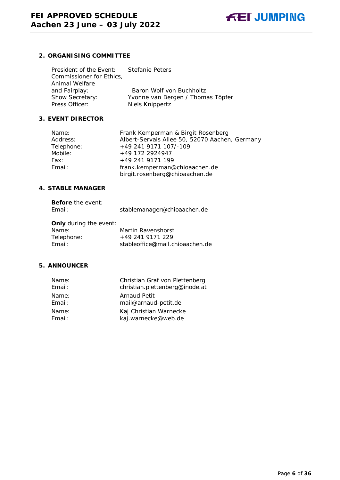

#### <span id="page-5-0"></span>**2. ORGANISING COMMITTEE**

| President of the Event:  | Stefanie Peters                   |
|--------------------------|-----------------------------------|
| Commissioner for Ethics, |                                   |
| Animal Welfare           |                                   |
| and Fairplay:            | Baron Wolf von Buchholtz          |
| Show Secretary:          | Yvonne van Bergen / Thomas Töpfer |
| Press Officer:           | Niels Knippertz                   |

#### <span id="page-5-1"></span>**3. EVENT DIRECTOR**

| Frank Kemperman & Birgit Rosenberg                              |
|-----------------------------------------------------------------|
| Albert-Servais Allee 50, 52070 Aachen, Germany                  |
| +49 241 9171 107/-109                                           |
| +49 172 2924947                                                 |
| +49 241 9171 199                                                |
| frank.kemperman@chioaachen.de<br>birgit.rosenberg@chioaachen.de |
|                                                                 |

#### <span id="page-5-2"></span>**4. STABLE MANAGER**

| <b>Before</b> the event:<br>Email: | stablemanager@chioaachen.de     |
|------------------------------------|---------------------------------|
| <b>Only</b> during the event:      |                                 |
| Name:                              | Martin Ravenshorst              |
| Telephone:                         | +49 241 9171 229                |
| Email:                             | stableoffice@mail.chioaachen.de |

#### <span id="page-5-3"></span>**5. ANNOUNCER**

| Name:  | Christian Graf von Plettenberg |
|--------|--------------------------------|
| Email: | christian.plettenberg@inode.at |
| Name:  | Arnaud Petit                   |
| Email: | mail@arnaud-petit.de           |
| Name:  | Kaj Christian Warnecke         |
| Email: | kaj.warnecke@web.de            |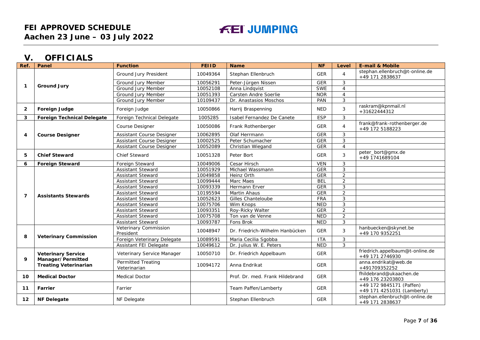# **FEI JUMPING**

# **V. OFFICIALS**

<span id="page-6-0"></span>

| Ref.                    | Panel                                                                          | <b>Function</b>                           | <b>FEIID</b> | <b>Name</b>                     | <b>NF</b>  | Level          | <b>E-mail &amp; Mobile</b>                             |
|-------------------------|--------------------------------------------------------------------------------|-------------------------------------------|--------------|---------------------------------|------------|----------------|--------------------------------------------------------|
| $\mathbf{1}$            |                                                                                | Ground Jury President                     | 10049364     | Stephan Ellenbruch              | <b>GER</b> | $\overline{4}$ | stephan.ellenbruch@t-online.de<br>+49 171 2838637      |
|                         |                                                                                | Ground Jury Member                        | 10056291     | Peter-Jürgen Nissen             | <b>GER</b> | 3              |                                                        |
|                         | <b>Ground Jury</b>                                                             | <b>Ground Jury Member</b>                 | 10052108     | Anna Lindqvist                  | <b>SWE</b> | $\overline{4}$ |                                                        |
|                         |                                                                                | Ground Jury Member                        | 10051393     | Carsten Andre Soerlie           | <b>NOR</b> | $\overline{4}$ |                                                        |
|                         |                                                                                | Ground Jury Member                        | 10109437     | Dr. Anastasios Moschos          | PAN        | 3              |                                                        |
| $\overline{2}$          | Foreign Judge                                                                  | Foreign Judge                             | 10050866     | Harrij Braspenning              | <b>NED</b> | 3              | raskram@kpnmail.nl<br>+31622444312                     |
| 3                       | <b>Foreign Technical Delegate</b>                                              | Foreign Technical Delegate                | 1005285      | Isabel Fernandez De Canete      | <b>ESP</b> | 3              |                                                        |
|                         |                                                                                | Course Designer                           | 10050086     | Frank Rothenberger              | <b>GER</b> | $\overline{4}$ | frank@frank-rothenberger.de<br>+49 172 5188223         |
| 4                       | <b>Course Designer</b>                                                         | Assistant Course Designer                 | 10062895     | Olaf Herrmann                   | <b>GER</b> | 3              |                                                        |
|                         |                                                                                | Assistant Course Designer                 | 10002525     | Peter Schumacher                | <b>GER</b> | 3              |                                                        |
|                         |                                                                                | Assistant Course Designer                 | 10052089     | Christian Wiegand               | <b>GER</b> | $\overline{4}$ |                                                        |
| 5                       | <b>Chief Steward</b>                                                           | <b>Chief Steward</b>                      | 10051328     | Peter Bort                      | <b>GER</b> | 3              | peter_bort@gmx.de<br>+49 1741689104                    |
| 6                       | <b>Foreign Steward</b>                                                         | Foreign Steward                           | 10049006     | Cesar Hirsch                    | <b>VEN</b> | 3              |                                                        |
|                         | <b>Assistants Stewards</b>                                                     | <b>Assistant Steward</b>                  | 10051929     | Michael Wassmann                | <b>GER</b> | 3              |                                                        |
|                         |                                                                                | <b>Assistant Steward</b>                  | 10049858     | Heinz Orth                      | <b>GER</b> | $\overline{2}$ |                                                        |
|                         |                                                                                | <b>Assistant Steward</b>                  | 10099444     | Marc Maes                       | <b>BEL</b> | $\overline{2}$ |                                                        |
|                         |                                                                                | <b>Assistant Steward</b>                  | 10093339     | Hermann Erver                   | <b>GER</b> | 3              |                                                        |
| $\overline{\mathbf{z}}$ |                                                                                | <b>Assistant Steward</b>                  | 10195594     | Martin Ahaus                    | <b>GER</b> | $\overline{2}$ |                                                        |
|                         |                                                                                | <b>Assistant Steward</b>                  | 10052623     | Gilles Chanteloube              | FRA        | 3              |                                                        |
|                         |                                                                                | Assistant Steward                         | 10075706     | Wim Knops                       | <b>NED</b> | 3              |                                                        |
|                         |                                                                                | <b>Assistant Steward</b>                  | 10093351     | Roy-Ricky Walter                | <b>GER</b> | $\overline{2}$ |                                                        |
|                         |                                                                                | <b>Assistant Steward</b>                  | 10075708     | Ton van de Venne                | <b>NED</b> | $\overline{a}$ |                                                        |
|                         |                                                                                | <b>Assistant Steward</b>                  | 10093787     | Fons Brok                       | <b>NED</b> | 3              |                                                        |
| 8                       | <b>Veterinary Commission</b>                                                   | Veterinary Commission<br>President        | 10048947     | Dr. Friedrich-Wilhelm Hanbücken | <b>GER</b> | 3              | hanbuecken@skynet.be<br>+49 170 9352251                |
|                         |                                                                                | Foreign Veterinary Delegate               | 10089591     | Maria Cecilia Sgobba            | <b>ITA</b> | 3              |                                                        |
|                         |                                                                                | Assistant FEI Delegate                    | 10049612     | Dr. Julius W. E. Peters         | <b>NED</b> | 3              |                                                        |
| 9                       | <b>Veterinary Service</b><br>Manager/Permitted<br><b>Treating Veterinarian</b> | Veterinary Service Manager                | 10050710     | Dr. Friedrich Appelbaum         | <b>GER</b> |                | friedrich.appelbaum@t-online.de<br>+49 171 2746930     |
|                         |                                                                                | <b>Permitted Treating</b><br>Veterinarian | 10094172     | Anna Endrikat                   | <b>GER</b> |                | anna.endrikat@web.de<br>+491709352252                  |
| 10                      | <b>Medical Doctor</b>                                                          | <b>Medical Doctor</b>                     |              | Prof. Dr. med. Frank Hildebrand | <b>GER</b> |                | fhildebrand@ukaachen.de<br>+49 176 23203803            |
| 11                      | Farrier                                                                        | Farrier                                   |              | Team Paffen/Lamberty            | <b>GER</b> |                | +49 172 9845171 (Paffen)<br>+49 171 4251031 (Lamberty) |
| 12                      | <b>NF Delegate</b>                                                             | NF Delegate                               |              | Stephan Ellenbruch              | <b>GER</b> |                | stephan.ellenbruch@t-online.de<br>+49 171 2838637      |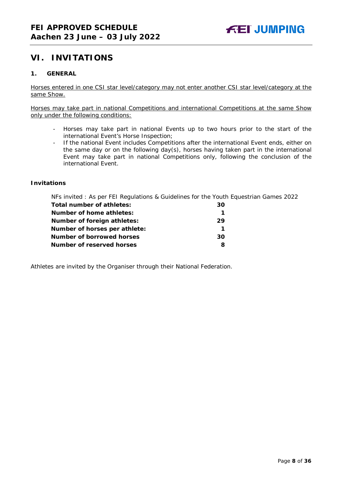# <span id="page-7-0"></span>**VI. INVITATIONS**

#### <span id="page-7-1"></span>**1. GENERAL**

Horses entered in one CSI star level/category may not enter another CSI star level/category at the same Show.

Horses may take part in national Competitions and international Competitions at the same Show only under the following conditions:

- Horses may take part in national Events up to two hours prior to the start of the international Event's Horse Inspection;
- If the national Event includes Competitions after the international Event ends, either on the same day or on the following day(s), horses having taken part in the international Event may take part in national Competitions only, following the conclusion of the international Event.

#### **Invitations**

NFs invited : As per FEI Regulations & Guidelines for the Youth Equestrian Games 2022

| Total number of athletes:          | 30 |
|------------------------------------|----|
| Number of home athletes:           |    |
| <b>Number of foreign athletes:</b> | 29 |
| Number of horses per athlete:      |    |
| Number of borrowed horses          | 30 |
| Number of reserved horses          |    |

Athletes are invited by the Organiser through their National Federation.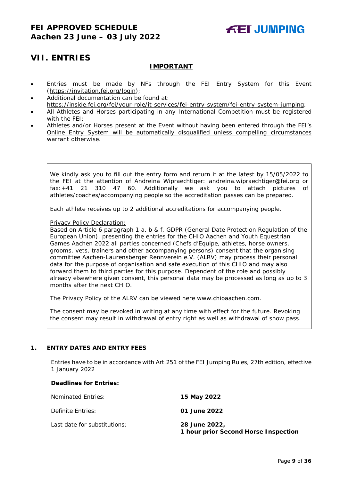# <span id="page-8-0"></span>**VII. ENTRIES**

#### **IMPORTANT**

- Entries must be made by NFs through the FEI Entry System for this Event [\(https://invitation.fei.org/login\)](https://invitation.fei.org/login);
- Additional documentation can be found at: [https://inside.fei.org/fei/your-role/it-services/fei-entry-system/fei-entry-system-jumping;](https://inside.fei.org/fei/your-role/it-services/fei-entry-system/fei-entry-system-jumping)
- All Athletes and Horses participating in any International Competition must be registered with the FEI;
- Athletes and/or Horses present at the Event without having been entered through the FEI's Online Entry System will be automatically disqualified unless compelling circumstances warrant otherwise.

We kindly ask you to fill out the entry form and return it at the latest by 15/05/2022 to the FEI at the attention of Andreina Wipraechtiger: andreina.wipraechtiger@fei.org or fax:+41 21 310 47 60. Additionally we ask you to attach pictures of athletes/coaches/accompanying people so the accreditation passes can be prepared.

Each athlete receives up to 2 additional accreditations for accompanying people.

Privacy Policy Declaration:

Based on Article 6 paragraph 1 a, b & f, GDPR (General Date Protection Regulation of the European Union), presenting the entries for the CHIO Aachen and Youth Equestrian Games Aachen 2022 all parties concerned (Chefs d'Equipe, athletes, horse owners, grooms, vets, trainers and other accompanying persons) consent that the organising committee Aachen-Laurensberger Rennverein e.V. (ALRV) may process their personal data for the purpose of organisation and safe execution of this CHIO and may also forward them to third parties for this purpose. Dependent of the role and possibly already elsewhere given consent, this personal data may be processed as long as up to 3 months after the next CHIO.

The Privacy Policy of the ALRV can be viewed here [www.chioaachen.com.](http://www.chioaachen.com/)

The consent may be revoked in writing at any time with effect for the future. Revoking the consent may result in withdrawal of entry right as well as withdrawal of show pass.

#### <span id="page-8-1"></span>**1. ENTRY DATES AND ENTRY FEES**

Entries have to be in accordance with Art.251 of the FEI Jumping Rules, 27th edition, effective 1 January 2022

#### **Deadlines for Entries:**

| Nominated Entries:           | 15 May 2022                                           |
|------------------------------|-------------------------------------------------------|
| Definite Entries:            | 01 June 2022                                          |
| Last date for substitutions: | 28 June 2022.<br>1 hour prior Second Horse Inspection |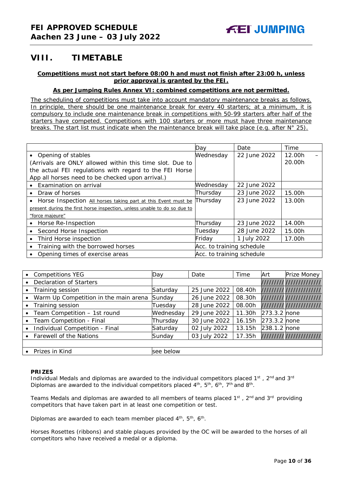# <span id="page-9-0"></span>**VIII. TIMETABLE**

#### **Competitions must not start before 08:00 h and must not finish after 23:00 h, unless prior approval is granted by the FEI.**

#### **As per Jumping Rules Annex VI: combined competitions are not permitted.**

*The scheduling of competitions must take into account mandatory maintenance breaks as follows. In principle, there should be one maintenance break for every 40 starters; at a minimum, it is compulsory to include one maintenance break in competitions with 50-99 starters after half of the starters have competed. Competitions with 100 starters or more must have three maintenance breaks. The start list must indicate when the maintenance break will take place (e.g. after N° 25).*

|                                                                          | Day                       | Date         | Time   |
|--------------------------------------------------------------------------|---------------------------|--------------|--------|
| • Opening of stables                                                     | Wednesday                 | 22 June 2022 | 12.00h |
| (Arrivals are ONLY allowed within this time slot. Due to                 |                           |              | 20.00h |
| the actual FEI regulations with regard to the FEI Horse                  |                           |              |        |
| App all horses need to be checked upon arrival.)                         |                           |              |        |
| Examination on arrival                                                   | Wednesday                 | 22 June 2022 |        |
| Draw of horses                                                           | Thursday                  | 23 June 2022 | 15.00h |
| Horse Inspection All horses taking part at this Event must be            | Thursday                  | 23 June 2022 | 13.00h |
| present during the first horse inspection, unless unable to do so due to |                           |              |        |
| "force majeure"                                                          |                           |              |        |
| Horse Re-Inspection                                                      | Thursday                  | 23 June 2022 | 14.00h |
| Second Horse Inspection                                                  | Tuesday                   | 28 June 2022 | 15.00h |
| Third Horse inspection                                                   | Friday                    | 1 July 2022  | 17.00h |
| Training with the borrowed horses                                        | Acc. to training schedule |              |        |
| Opening times of exercise areas                                          | Acc. to training schedule |              |        |

| <b>Competitions YEG</b>               | Day       | Date         | Time   | Art          | Prize Money             |
|---------------------------------------|-----------|--------------|--------|--------------|-------------------------|
| <b>Declaration of Starters</b>        |           |              |        |              | /////////////////////// |
| Training session                      | Saturday  | 25 June 2022 | 08.40h |              | /////////////////////// |
| Warm Up Competition in the main arena | Sunday    | 26 June 2022 | 08.30h |              | /////////////////////// |
| Training session                      | Tuesday   | 28 June 2022 | 08.00h |              | /////////////////////// |
| Team Competition - 1st round          | Wednesday | 29 June 2022 | 11.30h | 273.3.2 none |                         |
| Team Competition - Final              | Thursday  | 30 June 2022 | 16.15h | 273.3.2 none |                         |
| Individual Competition - Final        | Saturday  | 02 July 2022 | 13.15h | 238.1.2 none |                         |
| Farewell of the Nations               | Sunday    | 03 July 2022 | 17.35h |              | /////////////////////// |
|                                       |           |              |        |              |                         |
| Prizes in Kind                        | see below |              |        |              |                         |

#### **PRIZES**

Individual Medals and diplomas are awarded to the individual competitors placed  $1^{st}$ ,  $2^{nd}$  and  $3^{rd}$ Diplomas are awarded to the individual competitors placed  $4<sup>th</sup>$ ,  $5<sup>th</sup>$ ,  $6<sup>th</sup>$ ,  $7<sup>th</sup>$  and  $8<sup>th</sup>$ .

Teams Medals and diplomas are awarded to all members of teams placed 1<sup>st</sup>, 2<sup>nd</sup> and 3<sup>rd</sup> providing competitors that have taken part in at least one competition or test.

Diplomas are awarded to each team member placed 4<sup>th</sup>, 5<sup>th</sup>, 6<sup>th</sup>.

Horses Rosettes (ribbons) and stable plaques provided by the OC will be awarded to the horses of all competitors who have received a medal or a diploma.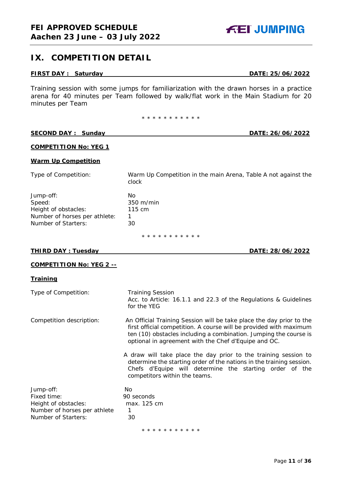# <span id="page-10-0"></span>**IX. COMPETITION DETAIL**

#### **FIRST DAY : Saturday DATE: 25/06/2022**

Training session with some jumps for familiarization with the drawn horses in a practice arena for 40 minutes per Team followed by walk/flat work in the Main Stadium for 20 minutes per Team

\* \* \* \* \* \* \* \* \* \*

#### **SECOND DAY : Sunday**  DATE: 26/06/2022

#### **COMPETITION No: YEG 1**

#### **Warm Up Competition**

Type of Competition: Warm Up Competition in the main Arena, Table A not against the clock

| Jump-off:                     | Nο     |
|-------------------------------|--------|
| Speed:                        | 350 m/ |
| Height of obstacles:          | 115 cm |
| Number of horses per athlete: | 1      |
| Number of Starters:           | 30     |
|                               |        |

\* \* \* \* \* \* \* \* \* \* \*

m/min

#### **THIRD DAY : Tuesday DATE: 28/06/2022**

#### **COMPETITION No: YEG 2 --**

#### **Training**

| Type of Competition:                                                                                    | <b>Training Session</b><br>Acc. to Article: 16.1.1 and 22.3 of the Regulations & Guidelines<br>for the YEG                                                                                                                                                              |
|---------------------------------------------------------------------------------------------------------|-------------------------------------------------------------------------------------------------------------------------------------------------------------------------------------------------------------------------------------------------------------------------|
| Competition description:                                                                                | An Official Training Session will be take place the day prior to the<br>first official competition. A course will be provided with maximum<br>ten (10) obstacles including a combination. Jumping the course is<br>optional in agreement with the Chef d'Equipe and OC. |
|                                                                                                         | A draw will take place the day prior to the training session to<br>determine the starting order of the nations in the training session.<br>Chefs d'Equipe will determine the starting order of the<br>competitors within the teams.                                     |
| Jump-off:<br>Fixed time:<br>Height of obstacles:<br>Number of horses per athlete<br>Number of Starters: | No.<br>90 seconds<br>max. 125 cm<br>1<br>30                                                                                                                                                                                                                             |

\* \* \* \* \* \* \* \* \* \* \*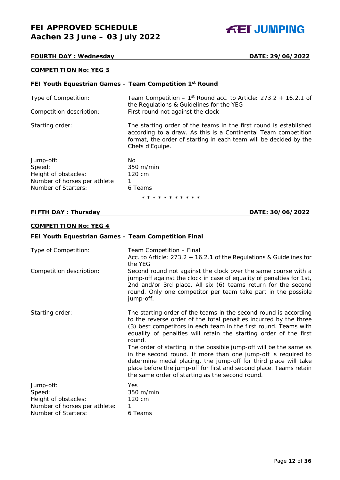**FEI JUMPING** 

#### **FOURTH DAY : Wednesday DATE: 29/06/2022**

#### **COMPETITION No: YEG 3**

#### **FEI Youth Equestrian Games – Team Competition 1st Round**

| Type of Competition:<br>Competition description: | Team Competition – $1st$ Round acc. to Article: 273.2 + 16.2.1 of<br>the Regulations & Guidelines for the YEG<br>First round not against the clock                                                                          |
|--------------------------------------------------|-----------------------------------------------------------------------------------------------------------------------------------------------------------------------------------------------------------------------------|
|                                                  |                                                                                                                                                                                                                             |
| Starting order:                                  | The starting order of the teams in the first round is established<br>according to a draw. As this is a Continental Team competition<br>format, the order of starting in each team will be decided by the<br>Chefs d'Equipe. |
| Jump-off:                                        | No.                                                                                                                                                                                                                         |
| Sneed:                                           | $350 \text{ m/min}$                                                                                                                                                                                                         |

| Speed:                       | $350 \text{ m/min}$   |
|------------------------------|-----------------------|
| Height of obstacles:         | 120 cm                |
| Number of horses per athlete |                       |
| Number of Starters:          | 6 Teams               |
|                              | * * * * * * * * * * * |

#### **FIFTH DAY : Thursday DATE: 30/06/2022**

#### **COMPETITION No: YEG 4**

| FEI Youth Equestrian Games - Team Competition Final                                                 |                                                                                                                                                                                                                                                                                                                                                                                                                                                                                                                                                                                                                             |
|-----------------------------------------------------------------------------------------------------|-----------------------------------------------------------------------------------------------------------------------------------------------------------------------------------------------------------------------------------------------------------------------------------------------------------------------------------------------------------------------------------------------------------------------------------------------------------------------------------------------------------------------------------------------------------------------------------------------------------------------------|
| Type of Competition:                                                                                | Team Competition - Final<br>Acc. to Article: $273.2 + 16.2.1$ of the Regulations & Guidelines for<br>the YEG                                                                                                                                                                                                                                                                                                                                                                                                                                                                                                                |
| Competition description:                                                                            | Second round not against the clock over the same course with a<br>jump-off against the clock in case of equality of penalties for 1st,<br>2nd and/or 3rd place. All six (6) teams return for the second<br>round. Only one competitor per team take part in the possible<br>jump-off.                                                                                                                                                                                                                                                                                                                                       |
| Starting order:                                                                                     | The starting order of the teams in the second round is according<br>to the reverse order of the total penalties incurred by the three<br>(3) best competitors in each team in the first round. Teams with<br>equality of penalties will retain the starting order of the first<br>round.<br>The order of starting in the possible jump-off will be the same as<br>in the second round. If more than one jump-off is required to<br>determine medal placing, the jump-off for third place will take<br>place before the jump-off for first and second place. Teams retain<br>the same order of starting as the second round. |
| Jump-off:<br>Speed:<br>Height of obstacles:<br>Number of horses per athlete:<br>Number of Starters: | Yes<br>350 m/min<br>120 cm<br>1<br>6 Teams                                                                                                                                                                                                                                                                                                                                                                                                                                                                                                                                                                                  |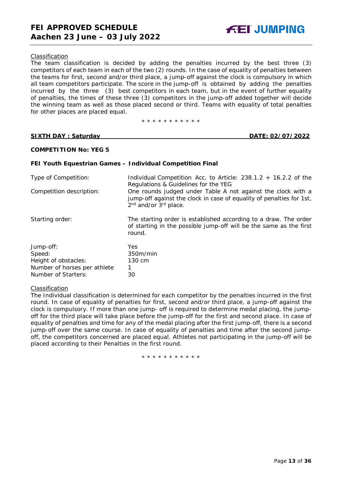#### *Classification*

The team classification is decided by adding the penalties incurred by the best three (3) competitors of each team in each of the two (2) rounds. In the case of equality of penalties between the teams for first, second and/or third place, a jump-off against the clock is compulsory in which all team competitors participate. The score in the jump-off is obtained by adding the penalties incurred by the three (3) best competitors in each team, but in the event of further equality of penalties, the times of these three (3) competitors in the jump-off added together will decide the winning team as well as those placed second or third. Teams with equality of total penalties for other places are placed equal.

\* \* \* \* \* \* \* \* \* \* \*

**SIXTH DAY : Saturday DATE: 02/07/2022**

#### **COMPETITION No: YEG 5**

#### **FEI Youth Equestrian Games – Individual Competition Final**

| Type of Competition:         | Individual Competition Acc. to Article: $238.1.2 + 16.2.2$ of the<br>Regulations & Guidelines for the YEG                                                                             |
|------------------------------|---------------------------------------------------------------------------------------------------------------------------------------------------------------------------------------|
| Competition description:     | One rounds judged under Table A not against the clock with a<br>jump-off against the clock in case of equality of penalties for 1st,<br>2 <sup>nd</sup> and/or 3 <sup>rd</sup> place. |
| Starting order:              | The starting order is established according to a draw. The order<br>of starting in the possible jump-off will be the same as the first<br>round.                                      |
| Jump-off:                    | <b>Yes</b>                                                                                                                                                                            |
| Speed:                       | 350m/min                                                                                                                                                                              |
| Height of obstacles:         | 130 cm                                                                                                                                                                                |
| Number of horses per athlete |                                                                                                                                                                                       |
| Number of Starters:          | 30                                                                                                                                                                                    |

#### *Classification*

The Individual classification is determined for each competitor by the penalties incurred in the first round. In case of equality of penalties for first, second and/or third place, a jump-off against the clock is compulsory. If more than one jump- off is required to determine medal placing, the jumpoff for the third place will take place before the jump-off for the first and second place. In case of equality of penalties and time for any of the medal placing after the first jump-off, there is a second jump-off over the same course. In case of equality of penalties and time after the second jumpoff, the competitors concerned are placed equal. Athletes not participating in the jump-off will be placed according to their Penalties in the first round.

\* \* \* \* \* \* \* \* \* \* \*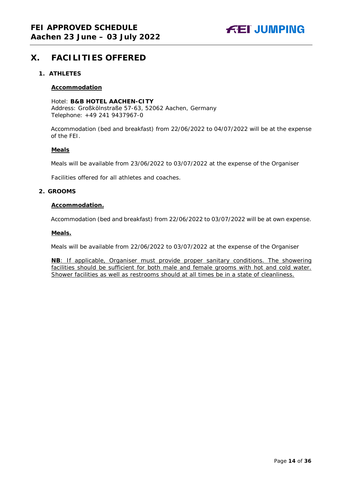

# <span id="page-13-0"></span>**X. FACILITIES OFFERED**

#### <span id="page-13-1"></span>**1. ATHLETES**

#### **Accommodation**

Hotel: **B&B HOTEL AACHEN-CITY** Address: Großkölnstraße 57-63, 52062 Aachen, Germany Telephone: +49 241 9437967-0

Accommodation (bed and breakfast) from 22/06/2022 to 04/07/2022 will be at the expense of the FEI.

#### **Meals**

Meals will be available from 23/06/2022 to 03/07/2022 at the expense of the Organiser

Facilities offered for all athletes and coaches.

#### <span id="page-13-2"></span>**2. GROOMS**

#### **Accommodation.**

Accommodation (bed and breakfast) from 22/06/2022 to 03/07/2022 will be at own expense.

#### **Meals.**

Meals will be available from 22/06/2022 to 03/07/2022 at the expense of the Organiser

**NB**: If applicable, Organiser must provide proper sanitary conditions. The showering facilities should be sufficient for both male and female grooms with hot and cold water. Shower facilities as well as restrooms should at all times be in a state of cleanliness.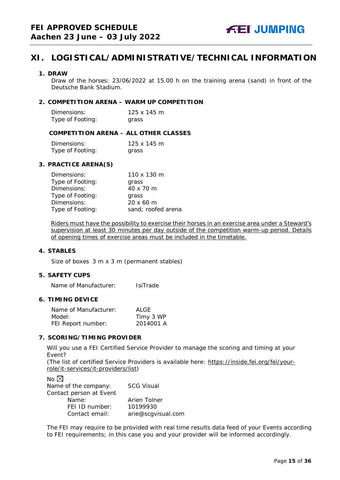# <span id="page-14-0"></span>**XI. LOGISTICAL/ADMINISTRATIVE/TECHNICAL INFORMATION**

#### <span id="page-14-1"></span>**1. DRAW**

Draw of the horses: 23/06/2022 at 15.00 h on the training arena (sand) in front of the Deutsche Bank Stadium.

#### <span id="page-14-2"></span>**2. COMPETITION ARENA – WARM UP COMPETITION**

| Dimensions:      | 125 x 145 m |
|------------------|-------------|
| Type of Footing: | grass       |

#### <span id="page-14-3"></span>**COMPETITION ARENA – ALL OTHER CLASSES**

| Dimensions:      | $125 \times 145$ m |
|------------------|--------------------|
| Type of Footing: | grass              |

#### <span id="page-14-4"></span>**3. PRACTICE ARENA(S)**

| Dimensions:      | 110 x 130 m        |
|------------------|--------------------|
| Type of Footing: | grass              |
| Dimensions:      | 40 x 70 m          |
| Type of Footing: | grass              |
| Dimensions:      | $20 \times 60$ m   |
| Type of Footing: | sand; roofed arena |

Riders must have the possibility to exercise their horses in an exercise area under a Steward's supervision at least 30 minutes per day outside of the competition warm-up period. Details of opening times of exercise areas must be included in the timetable.

#### <span id="page-14-5"></span>**4. STABLES**

Size of boxes 3 m x 3 m (permanent stables)

#### <span id="page-14-6"></span>**5. SAFETY CUPS**

Name of Manufacturer: IsiTrade

#### <span id="page-14-7"></span>**6. TIMING DEVICE**

| Name of Manufacturer: | ALGE      |
|-----------------------|-----------|
| Model:                | Timy 3 WP |
| FEI Report number:    | 2014001 A |

#### <span id="page-14-8"></span>**7. SCORING/TIMING PROVIDER**

Will you use a FEI Certified Service Provider to manage the scoring and timing at your Event?

*(The list of certified Service Providers is available here:* [https://inside.fei.org/fei/your](https://inside.fei.org/fei/your-role/it-services/it-providers/list)[role/it-services/it-providers/list](https://inside.fei.org/fei/your-role/it-services/it-providers/list)*)*

| No $\boxtimes$          |                    |
|-------------------------|--------------------|
| Name of the company:    | <b>SCG Visual</b>  |
| Contact person at Event |                    |
| Name:                   | Arien Tolner       |
| FEI ID number:          | 10199930           |
| Contact email:          | arie@scgvisual.com |

The FEI may require to be provided with real time results data feed of your Events according to FEI requirements; in this case you and your provider will be informed accordingly.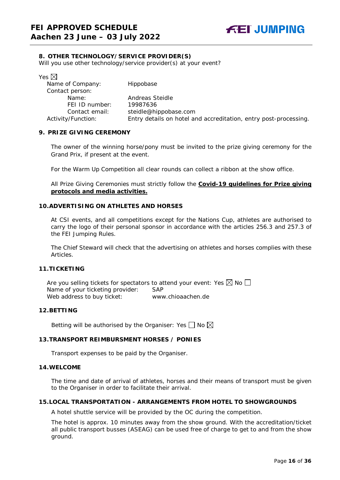#### <span id="page-15-0"></span>**8. OTHER TECHNOLOGY/SERVICE PROVIDER(S)**

Will you use other technology/service provider(s) at your event?

| Yes $\boxtimes$    |                                                                  |
|--------------------|------------------------------------------------------------------|
| Name of Company:   | Hippobase                                                        |
| Contact person:    |                                                                  |
| Name:              | Andreas Steidle                                                  |
| FEI ID number:     | 19987636                                                         |
| Contact email:     | steidle@hippobase.com                                            |
| Activity/Function: | Entry details on hotel and accreditation, entry post-processing. |

#### <span id="page-15-1"></span>**9. PRIZE GIVING CEREMONY**

The owner of the winning horse/pony must be invited to the prize giving ceremony for the Grand Prix, if present at the event.

For the Warm Up Competition all clear rounds can collect a ribbon at the show office.

All Prize Giving Ceremonies must strictly follow the **Covid-19 guidelines for Prize giving protocols and media activities.**

#### <span id="page-15-2"></span>**10.ADVERTISING ON ATHLETES AND HORSES**

At CSI events, and all competitions except for the Nations Cup, athletes are authorised to carry the logo of their personal sponsor in accordance with the articles 256.3 and 257.3 of the FEI Jumping Rules.

The Chief Steward will check that the advertising on athletes and horses complies with these Articles.

#### <span id="page-15-3"></span>**11.TICKETING**

Are you selling tickets for spectators to attend your event: Yes  $\boxtimes$  No  $\Box$ Name of your ticketing provider: SAP<br>Web address to buy ticket: www.chioaachen.de Web address to buy ticket:

#### <span id="page-15-4"></span>**12.BETTING**

Betting will be authorised by the Organiser: Yes  $\Box$  No  $\boxtimes$ 

#### <span id="page-15-5"></span>**13.TRANSPORT REIMBURSMENT HORSES / PONIES**

Transport expenses to be paid by the Organiser.

#### <span id="page-15-6"></span>**14.WELCOME**

The time and date of arrival of athletes, horses and their means of transport must be given to the Organiser in order to facilitate their arrival.

#### <span id="page-15-7"></span>**15.LOCAL TRANSPORTATION - ARRANGEMENTS FROM HOTEL TO SHOWGROUNDS**

A hotel shuttle service will be provided by the OC during the competition.

The hotel is approx. 10 minutes away from the show ground. With the accreditation/ticket all public transport busses (ASEAG) can be used free of charge to get to and from the show ground.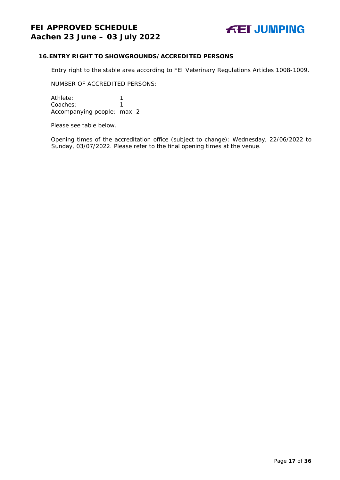#### <span id="page-16-0"></span>**16.ENTRY RIGHT TO SHOWGROUNDS/ACCREDITED PERSONS**

Entry right to the stable area according to FEI Veterinary Regulations Articles 1008-1009.

NUMBER OF ACCREDITED PERSONS:

Athlete: 1<br>Coaches: 1 Coaches: Accompanying people: max. 2

Please see table below.

Opening times of the accreditation office (subject to change): Wednesday, 22/06/2022 to Sunday, 03/07/2022. Please refer to the final opening times at the venue.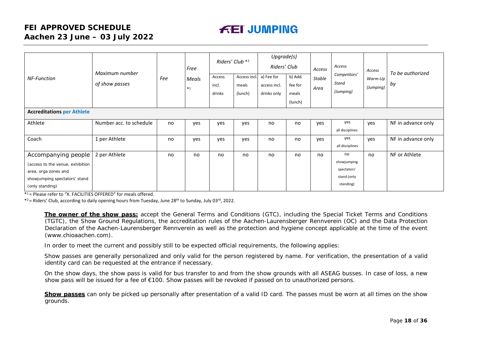# **FEI APPROVED SCHEDULE Aachen 23 June – 03 July 2022**

# **FEI JUMPING**

| <b>NF-Function</b>                                                                                                                  | Maximum number<br>of show passes | Fee | Free<br>Meals<br>$*1$ | Riders' Club <sup>*2</sup><br>Access<br>incl.<br>drinks | Access incl.<br>meals<br>(lunch) | Upgrade(s)<br>Riders' Club<br>a) Fee for<br>access incl.<br>drinks only | b) Add.<br>fee for<br>meals<br>(lunch) | Access<br><b>Stable</b><br>Area | Access<br>Competitors'<br>Stand<br>(Jumping)                 | Access<br>Warm-Up<br>(Jumping) | To be authorized<br>by |
|-------------------------------------------------------------------------------------------------------------------------------------|----------------------------------|-----|-----------------------|---------------------------------------------------------|----------------------------------|-------------------------------------------------------------------------|----------------------------------------|---------------------------------|--------------------------------------------------------------|--------------------------------|------------------------|
| <b>Accreditations per Athlete</b>                                                                                                   |                                  |     |                       |                                                         |                                  |                                                                         |                                        |                                 |                                                              |                                |                        |
| Athlete                                                                                                                             | Number acc. to schedule          | no  | yes                   | yes                                                     | yes                              | no                                                                      | no                                     | yes                             | yes<br>all disciplines                                       | yes                            | NF in advance only     |
| Coach                                                                                                                               | 1 per Athlete                    | no  | yes                   | ves                                                     | yes                              | no                                                                      | no                                     | yes                             | yes<br>all disciplines                                       | yes                            | NF in advance only     |
| Accompanying people<br>(access to the venue, exhibition<br>area, orga zones and<br>showjumping spectators' stand<br>(only standing) | 2 per Athlete                    | no  | no.                   | no                                                      | no                               | no                                                                      | no                                     | no                              | no<br>showjumping<br>spectators'<br>stand (only<br>standing) | no                             | NF or Athlete          |

 $*1$  = Please refer to "X. FACILITIES OFFERED" for meals offered.

 $*2$  = Riders' Club, according to daily opening hours from Tuesday, June 28<sup>th</sup> to Sunday, July 03<sup>rd</sup>, 2022.

**The owner of the show pass:** accept the General Terms and Conditions (GTC), including the Special Ticket Terms and Conditions (TGTC), the Show Ground Regulations, the accreditation rules of the Aachen-Laurensberger Rennverein (OC) and the Data Protection Declaration of the Aachen-Laurensberger Rennverein as well as the protection and hygiene concept applicable at the time of the event (www.chioaachen.com).

In order to meet the current and possibly still to be expected official requirements, the following applies:

Show passes are generally personalized and only valid for the person registered by name. For verification, the presentation of a valid identity card can be requested at the entrance if necessary.

On the show days, the show pass is valid for bus transfer to and from the show grounds with all ASEAG busses. In case of loss, a new show pass will be issued for a fee of €100. Show passes will be revoked if passed on to unauthorized persons.

**Show passes** can only be picked up personally after presentation of a valid ID card. The passes must be worn at all times on the show grounds.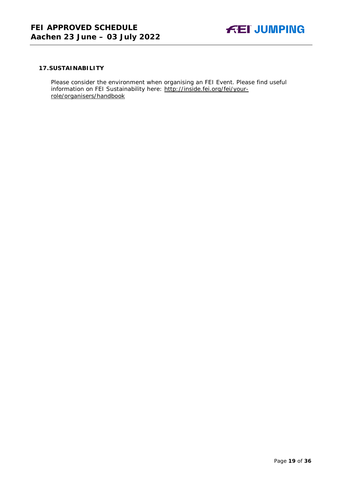

#### <span id="page-18-0"></span>**17.SUSTAINABILITY**

Please consider the environment when organising an FEI Event. Please find useful information on FEI Sustainability here: [http://inside.fei.org/fei/your](http://inside.fei.org/fei/your-role/organisers/handbook)[role/organisers/handbook](http://inside.fei.org/fei/your-role/organisers/handbook)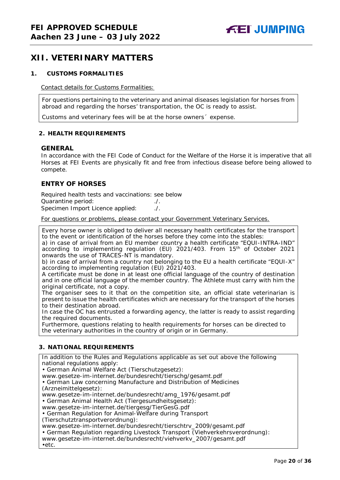## <span id="page-19-0"></span>**XII. VETERINARY MATTERS**

#### <span id="page-19-1"></span>**1. CUSTOMS FORMALITIES**

Contact details for Customs Formalities:

For questions pertaining to the veterinary and animal diseases legislation for horses from abroad and regarding the horses' transportation, the OC is ready to assist.

Customs and veterinary fees will be at the horse owners´ expense.

#### <span id="page-19-2"></span>**2. HEALTH REQUIREMENTS**

#### **GENERAL**

In accordance with the FEI Code of Conduct for the Welfare of the Horse it is imperative that all Horses at FEI Events are physically fit and free from infectious disease before being allowed to compete.

#### **ENTRY OF HORSES**

Required health tests and vaccinations: see below Quarantine period: ./. Specimen Import Licence applied: ./.

For questions or problems, please contact your Government Veterinary Services.

Every horse owner is obliged to deliver all necessary health certificates for the transport to the event or identification of the horses before they come into the stables: a) in case of arrival from an EU member country a health certificate "EQUI-INTRA-IND" according to implementing regulation (EU) 2021/403. From 15<sup>th</sup> of October 2021 onwards the use of TRACES-NT is mandatory.

b) in case of arrival from a country not belonging to the EU a health certificate "EQUI-X" according to implementing regulation (EU) 2021/403.

A certificate must be done in at least one official language of the country of destination and in one official language of the member country. The Athlete must carry with him the original certificate, not a copy.

The organiser sees to it that on the competition site, an official state veterinarian is present to issue the health certificates which are necessary for the transport of the horses to their destination abroad.

In case the OC has entrusted a forwarding agency, the latter is ready to assist regarding the required documents.

Furthermore, questions relating to health requirements for horses can be directed to the veterinary authorities in the country of origin or in Germany.

#### <span id="page-19-3"></span>**3. NATIONAL REQUIREMENTS**

In addition to the Rules and Regulations applicable as set out above the following national regulations apply:

• German Animal Welfare Act (Tierschutzgesetz):

www.gesetze-im-internet.de/bundesrecht/tierschg/gesamt.pdf

• German Law concerning Manufacture and Distribution of Medicines (Arzneimittelgesetz):

www.gesetze-im-internet.de/bundesrecht/amg\_1976/gesamt.pdf

• German Animal Health Act (Tiergesundheitsgesetz):

www.gesetze-im-internet.de/tiergesg/TierGesG.pdf

• German Regulation for Animal-Welfare during Transport

(Tierschutztransportverordnung):

www.gesetze-im-internet.de/bundesrecht/tierschtrv\_2009/gesamt.pdf

• German Regulation regarding Livestock Transport (Viehverkehrsverordnung):

www.gesetze-im-internet.de/bundesrecht/viehverkv\_2007/gesamt.pdf •etc.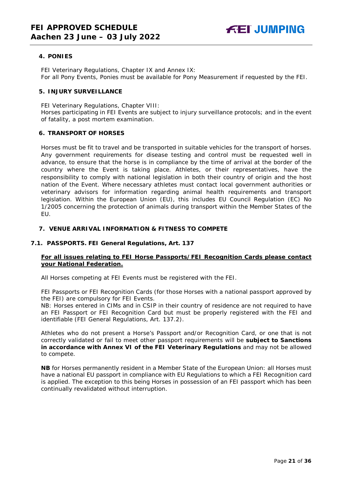#### <span id="page-20-0"></span>**4. PONIES**

FEI Veterinary Regulations, Chapter IX and Annex IX: For all Pony Events, Ponies must be available for Pony Measurement if requested by the FEI.

#### <span id="page-20-1"></span>**5. INJURY SURVEILLANCE**

FEI Veterinary Regulations, Chapter VIII:

Horses participating in FEI Events are subject to injury surveillance protocols; and in the event of fatality, a post mortem examination.

#### <span id="page-20-2"></span>**6. TRANSPORT OF HORSES**

Horses must be fit to travel and be transported in suitable vehicles for the transport of horses. Any government requirements for disease testing and control must be requested well in advance, to ensure that the horse is in compliance by the time of arrival at the border of the country where the Event is taking place. Athletes, or their representatives, have the responsibility to comply with national legislation in both their country of origin and the host nation of the Event. Where necessary athletes must contact local government authorities or veterinary advisors for information regarding animal health requirements and transport legislation. Within the European Union (EU), this includes EU Council Regulation (EC) No 1/2005 concerning the protection of animals during transport within the Member States of the EU.

#### <span id="page-20-3"></span>**7. VENUE ARRIVAL INFORMATION & FITNESS TO COMPETE**

#### **7.1. PASSPORTS. FEI General Regulations, Art. 137**

#### **For all issues relating to FEI Horse Passports/FEI Recognition Cards please contact your National Federation.**

All Horses competing at FEI Events must be registered with the FEI.

FEI Passports or FEI Recognition Cards (for those Horses with a national passport approved by the FEI) are compulsory for FEI Events.

NB: Horses entered in CIMs and in CSIP in their country of residence are not required to have an FEI Passport or FEI Recognition Card but must be properly registered with the FEI and identifiable (FEI General Regulations, Art. 137.2).

Athletes who do not present a Horse's Passport and/or Recognition Card, or one that is not correctly validated or fail to meet other passport requirements will be **subject to Sanctions in accordance with Annex VI of the FEI Veterinary Regulations** and may not be allowed to compete.

**NB** for Horses permanently resident in a Member State of the European Union: all Horses must have a national EU passport in compliance with EU Regulations to which a FEI Recognition card is applied. The exception to this being Horses in possession of an FEI passport which has been continually revalidated without interruption.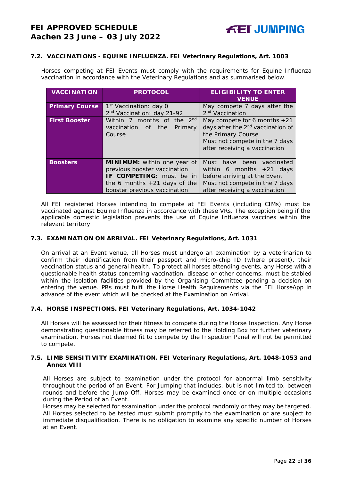#### **7.2. VACCINATIONS - EQUINE INFLUENZA. FEI Veterinary Regulations, Art. 1003**

Horses competing at FEI Events must comply with the requirements for Equine Influenza vaccination in accordance with the Veterinary Regulations and as summarised below.

| <b>VACCINATION</b>    | <b>PROTOCOL</b>                           | <b>ELIGIBILITY TO ENTER</b><br><b>VENUE</b>   |
|-----------------------|-------------------------------------------|-----------------------------------------------|
| <b>Primary Course</b> | 1 <sup>st</sup> Vaccination: day 0        | May compete 7 days after the                  |
|                       | 2 <sup>nd</sup> Vaccination: day 21-92    | 2 <sup>nd</sup> Vaccination                   |
| <b>First Booster</b>  | months of the 2 <sup>nd</sup><br>Within 7 | May compete for 6 months $+21$                |
|                       | vaccination<br>the<br>Primary<br>of       | days after the 2 <sup>nd</sup> vaccination of |
|                       | Course                                    | the Primary Course                            |
|                       |                                           | Must not compete in the 7 days                |
|                       |                                           | after receiving a vaccination                 |
|                       |                                           |                                               |
| <b>Boosters</b>       | <b>MINIMUM:</b> within one year of        | Must have been vaccinated                     |
|                       | previous booster vaccination              | within 6 months $+21$ days                    |
|                       | IF COMPETING: must be in                  | before arriving at the Event                  |
|                       |                                           |                                               |
|                       | the 6 months $+21$ days of the            | Must not compete in the 7 days                |
|                       | booster previous vaccination              | after receiving a vaccination                 |

All FEI registered Horses intending to compete at FEI Events (including CIMs) must be vaccinated against Equine Influenza in accordance with these VRs. The exception being if the applicable domestic legislation prevents the use of Equine Influenza vaccines within the relevant territory

#### **7.3. EXAMINATION ON ARRIVAL. FEI Veterinary Regulations, Art. 1031**

On arrival at an Event venue, all Horses must undergo an examination by a veterinarian to confirm their identification from their passport and micro-chip ID (where present), their vaccination status and general health. To protect all horses attending events, any Horse with a questionable health status concerning vaccination, disease or other concerns, must be stabled within the isolation facilities provided by the Organising Committee pending a decision on entering the venue. PRs must fulfil the Horse Health Requirements via the FEI HorseApp in advance of the event which will be checked at the Examination on Arrival.

#### **7.4. HORSE INSPECTIONS. FEI Veterinary Regulations, Art. 1034-1042**

All Horses will be assessed for their fitness to compete during the Horse Inspection. Any Horse demonstrating questionable fitness may be referred to the Holding Box for further veterinary examination. Horses not deemed fit to compete by the Inspection Panel will not be permitted to compete.

#### **7.5. LIMB SENSITIVITY EXAMINATION. FEI Veterinary Regulations, Art. 1048-1053 and Annex VIII**

All Horses are subject to examination under the protocol for abnormal limb sensitivity throughout the period of an Event. For Jumping that includes, but is not limited to, between rounds and before the Jump Off. Horses may be examined once or on multiple occasions during the Period of an Event.

<span id="page-21-0"></span>Horses may be selected for examination under the protocol randomly or they may be targeted. All Horses selected to be tested must submit promptly to the examination or are subject to immediate disqualification. There is no obligation to examine any specific number of Horses at an Event.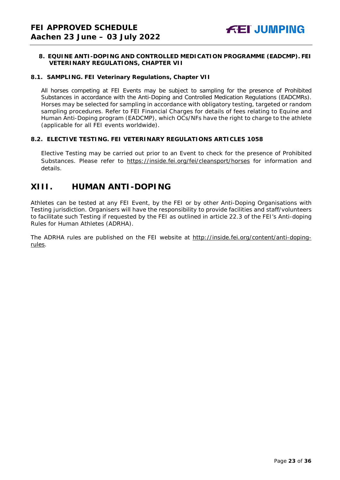#### **8. EQUINE ANTI-DOPING AND CONTROLLED MEDICATION PROGRAMME (EADCMP). FEI VETERINARY REGULATIONS, CHAPTER VII**

#### **8.1. SAMPLING. FEI Veterinary Regulations, Chapter VII**

All horses competing at FEI Events may be subject to sampling for the presence of Prohibited Substances in accordance with the Anti-Doping and Controlled Medication Regulations (EADCMRs). Horses may be selected for sampling in accordance with obligatory testing, targeted or random sampling procedures. Refer to FEI Financial Charges for details of fees relating to Equine and Human Anti-Doping program (EADCMP), which OCs/NFs have the right to charge to the athlete (applicable for all FEI events worldwide).

#### **8.2. ELECTIVE TESTING. FEI VETERINARY REGULATIONS ARTICLES 1058**

Elective Testing may be carried out prior to an Event to check for the presence of Prohibited Substances. Please refer to <https://inside.fei.org/fei/cleansport/horses> for information and details.

## <span id="page-22-0"></span>**XIII. HUMAN ANTI-DOPING**

Athletes can be tested at any FEI Event, by the FEI or by other Anti-Doping Organisations with Testing jurisdiction. Organisers will have the responsibility to provide facilities and staff/volunteers to facilitate such Testing if requested by the FEI as outlined in article 22.3 of the FEI's Anti-doping Rules for Human Athletes (ADRHA).

<span id="page-22-1"></span>The ADRHA rules are published on the FEI website at [http://inside.fei.org/content/anti-doping](http://inside.fei.org/content/anti-doping-rules)[rules.](http://inside.fei.org/content/anti-doping-rules)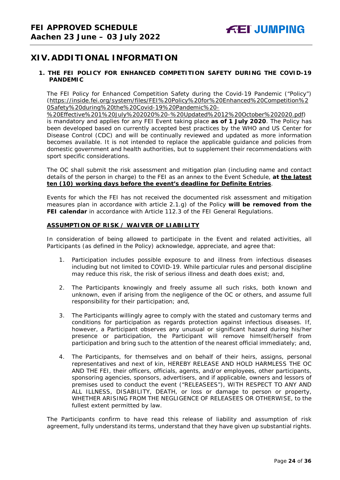# **XIV. ADDITIONAL INFORMATION**

#### <span id="page-23-0"></span>**1. THE FEI POLICY FOR ENHANCED COMPETITION SAFETY DURING THE COVID-19 PANDEMIC**

The FEI Policy for Enhanced Competition Safety during the Covid-19 Pandemic ("Policy") (https://inside.fei.org/system/files/FEI%20Policy%20for%20Enhanced%20Competition%2 0Safety%20during%20the%20Covid-19%20Pandemic%20-

%20Effective%201%20July%202020%20-%20Updated%2012%20October%202020.pdf) is mandatory and applies for any FEI Event taking place **as of 1 July 2020**. The Policy has been developed based on currently accepted best practices by the WHO and US Center for Disease Control (CDC) and will be continually reviewed and updated as more information becomes available. It is not intended to replace the applicable guidance and policies from domestic government and health authorities, but to supplement their recommendations with sport specific considerations.

The OC shall submit the risk assessment and mitigation plan (including name and contact details of the person in charge) to the FEI as an annex to the Event Schedule, **at the latest ten (10) working days before the event's deadline for Definite Entries**.

Events for which the FEI has not received the documented risk assessment and mitigation measures plan in accordance with article 2.1.g) of the Policy **will be removed from the FEI calendar** in accordance with Article 112.3 of the FEI General Regulations.

#### **ASSUMPTION OF RISK / WAIVER OF LIABILITY**

In consideration of being allowed to participate in the Event and related activities, all Participants (as defined in the Policy) acknowledge, appreciate, and agree that:

- 1. Participation includes possible exposure to and illness from infectious diseases including but not limited to COVID-19. While particular rules and personal discipline may reduce this risk, the risk of serious illness and death does exist; and,
- 2. The Participants knowingly and freely assume all such risks, both known and unknown, even if arising from the negligence of the OC or others, and assume full responsibility for their participation; and,
- 3. The Participants willingly agree to comply with the stated and customary terms and conditions for participation as regards protection against infectious diseases. If, however, a Participant observes any unusual or significant hazard during his/her presence or participation, the Participant will remove himself/herself from participation and bring such to the attention of the nearest official immediately; and,
- 4. The Participants, for themselves and on behalf of their heirs, assigns, personal representatives and next of kin, HEREBY RELEASE AND HOLD HARMLESS THE OC AND THE FEI, their officers, officials, agents, and/or employees, other participants, sponsoring agencies, sponsors, advertisers, and if applicable, owners and lessors of premises used to conduct the event ("RELEASEES"), WITH RESPECT TO ANY AND ALL ILLNESS, DISABILITY, DEATH, or loss or damage to person or property, WHETHER ARISING FROM THE NEGLIGENCE OF RELEASEES OR OTHERWISE, to the fullest extent permitted by law.

<span id="page-23-1"></span>The Participants confirm to have read this release of liability and assumption of risk agreement, fully understand its terms, understand that they have given up substantial rights.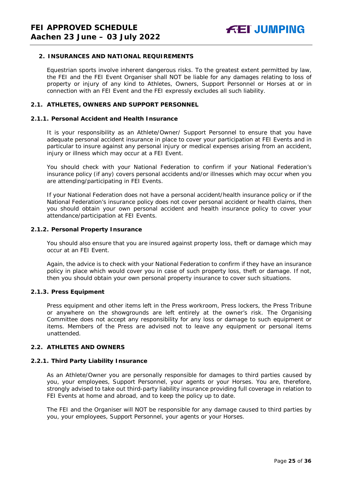#### **2. INSURANCES AND NATIONAL REQUIREMENTS**

Equestrian sports involve inherent dangerous risks. To the greatest extent permitted by law, the FEI and the FEI Event Organiser shall NOT be liable for any damages relating to loss of property or injury of any kind to Athletes, Owners, Support Personnel or Horses at or in connection with an FEI Event and the FEI expressly excludes all such liability.

#### **2.1. ATHLETES, OWNERS AND SUPPORT PERSONNEL**

#### **2.1.1. Personal Accident and Health Insurance**

It is your responsibility as an Athlete/Owner/ Support Personnel to ensure that you have adequate personal accident insurance in place to cover your participation at FEI Events and in particular to insure against any personal injury or medical expenses arising from an accident, injury or illness which may occur at a FEI Event.

You should check with your National Federation to confirm if your National Federation's insurance policy (if any) covers personal accidents and/or illnesses which may occur when you are attending/participating in FEI Events.

If your National Federation does not have a personal accident/health insurance policy or if the National Federation's insurance policy does not cover personal accident or health claims, then you should obtain your own personal accident and health insurance policy to cover your attendance/participation at FEI Events.

#### **2.1.2. Personal Property Insurance**

You should also ensure that you are insured against property loss, theft or damage which may occur at an FEI Event.

Again, the advice is to check with your National Federation to confirm if they have an insurance policy in place which would cover you in case of such property loss, theft or damage. If not, then you should obtain your own personal property insurance to cover such situations.

#### **2.1.3. Press Equipment**

Press equipment and other items left in the Press workroom, Press lockers, the Press Tribune or anywhere on the showgrounds are left entirely at the owner's risk. The Organising Committee does not accept any responsibility for any loss or damage to such equipment or items. Members of the Press are advised not to leave any equipment or personal items unattended.

#### **2.2. ATHLETES AND OWNERS**

#### **2.2.1. Third Party Liability Insurance**

As an Athlete/Owner you are personally responsible for damages to third parties caused by you, your employees, Support Personnel, your agents or your Horses. You are, therefore, strongly advised to take out third-party liability insurance providing full coverage in relation to FEI Events at home and abroad, and to keep the policy up to date.

The FEI and the Organiser will NOT be responsible for any damage caused to third parties by you, your employees, Support Personnel, your agents or your Horses.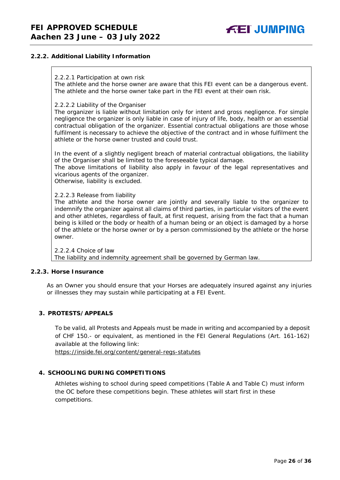#### **2.2.2. Additional Liability Information**

#### 2.2.2.1 Participation at own risk

The athlete and the horse owner are aware that this FEI event can be a dangerous event. The athlete and the horse owner take part in the FEI event at their own risk.

#### 2.2.2.2 Liability of the Organiser

The organizer is liable without limitation only for intent and gross negligence. For simple negligence the organizer is only liable in case of injury of life, body, health or an essential contractual obligation of the organizer. Essential contractual obligations are those whose fulfilment is necessary to achieve the objective of the contract and in whose fulfilment the athlete or the horse owner trusted and could trust.

In the event of a slightly negligent breach of material contractual obligations, the liability of the Organiser shall be limited to the foreseeable typical damage.

The above limitations of liability also apply in favour of the legal representatives and vicarious agents of the organizer.

Otherwise, liability is excluded.

2.2.2.3 Release from liability

The athlete and the horse owner are jointly and severally liable to the organizer to indemnify the organizer against all claims of third parties, in particular visitors of the event and other athletes, regardless of fault, at first request, arising from the fact that a human being is killed or the body or health of a human being or an object is damaged by a horse of the athlete or the horse owner or by a person commissioned by the athlete or the horse owner.

2.2.2.4 Choice of law The liability and indemnity agreement shall be governed by German law.

#### **2.2.3. Horse Insurance**

As an Owner you should ensure that your Horses are adequately insured against any injuries or illnesses they may sustain while participating at a FEI Event.

#### <span id="page-25-0"></span>**3. PROTESTS/APPEALS**

To be valid, all Protests and Appeals must be made in writing and accompanied by a deposit of CHF 150.- or equivalent, as mentioned in the FEI General Regulations (Art. 161-162) available at the following link:

<https://inside.fei.org/content/general-regs-statutes>

#### **4. SCHOOLING DURING COMPETITIONS**

<span id="page-25-1"></span>Athletes wishing to school during speed competitions (Table A and Table C) must inform the OC before these competitions begin. These athletes will start first in these competitions.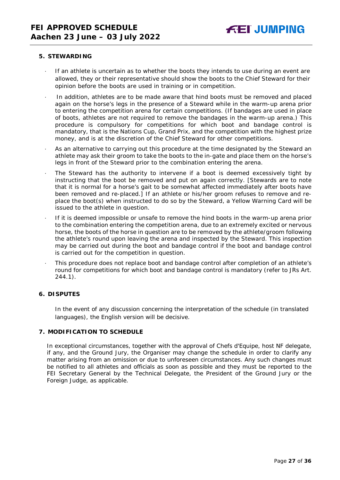#### **5. STEWARDING**

- If an athlete is uncertain as to whether the boots they intends to use during an event are allowed, they or their representative should show the boots to the Chief Steward for their opinion before the boots are used in training or in competition.
- In addition, athletes are to be made aware that hind boots must be removed and placed again on the horse's legs in the presence of a Steward while in the warm-up arena prior to entering the competition arena for certain competitions. (If bandages are used in place of boots, athletes are not required to remove the bandages in the warm-up arena.) This procedure is compulsory for competitions for which boot and bandage control is mandatory, that is the Nations Cup, Grand Prix, and the competition with the highest prize money, and is at the discretion of the Chief Steward for other competitions.
- As an alternative to carrying out this procedure at the time designated by the Steward an athlete may ask their groom to take the boots to the in-gate and place them on the horse's legs in front of the Steward prior to the combination entering the arena.
- The Steward has the authority to intervene if a boot is deemed excessively tight by instructing that the boot be removed and put on again correctly. *[Stewards are to note that it is normal for a horse's gait to be somewhat affected immediately after boots have been removed and re-placed.]* If an athlete or his/her groom refuses to remove and replace the boot(s) when instructed to do so by the Steward, a Yellow Warning Card will be issued to the athlete in question.
- · If it is deemed impossible or unsafe to remove the hind boots in the warm-up arena prior to the combination entering the competition arena, due to an extremely excited or nervous horse, the boots of the horse in question are to be removed by the athlete/groom following the athlete's round upon leaving the arena and inspected by the Steward. This inspection may be carried out during the boot and bandage control if the boot and bandage control is carried out for the competition in question.
- This procedure does not replace boot and bandage control after completion of an athlete's round for competitions for which boot and bandage control is mandatory (refer to JRs Art. 244.1).

#### <span id="page-26-0"></span>**6. DISPUTES**

In the event of any discussion concerning the interpretation of the schedule (in translated languages), the English version will be decisive.

#### <span id="page-26-1"></span>**7. MODIFICATION TO SCHEDULE**

<span id="page-26-2"></span>In exceptional circumstances, together with the approval of Chefs d'Equipe, host NF delegate, if any, and the Ground Jury, the Organiser may change the schedule in order to clarify any matter arising from an omission or due to unforeseen circumstances. Any such changes must be notified to all athletes and officials as soon as possible and they must be reported to the FEI Secretary General by the Technical Delegate, the President of the Ground Jury or the Foreign Judge, as applicable.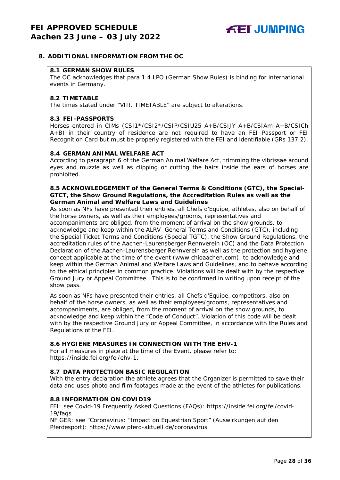#### **8. ADDITIONAL INFORMATION FROM THE OC**

#### **8.1 GERMAN SHOW RULES**

The OC acknowledges that para 1.4 LPO (German Show Rules) is binding for international events in Germany.

#### **8.2 TIMETABLE**

The times stated under "VIII. TIMETABLE" are subject to alterations.

#### **8.3 FEI-PASSPORTS**

Horses entered in CIMs (CSI1\*/CSI2\*/CSIP/CSIU25 A+B/CSIJY A+B/CSIAm A+B/CSICh A+B) in their country of residence are not required to have an FEI Passport or FEI Recognition Card but must be properly registered with the FEI and identifiable (GRs 137.2).

#### **8.4 GERMAN ANIMAL WELFARE ACT**

According to paragraph 6 of the German Animal Welfare Act, trimming the vibrissae around eyes and muzzle as well as clipping or cutting the hairs inside the ears of horses are prohibited.

#### **8.5 ACKNOWLEDGEMENT of the General Terms & Conditions (GTC), the Special-GTCT, the Show Ground Regulations, the Accreditation Rules as well as the German Animal and Welfare Laws and Guidelines**

As soon as NFs have presented their entries, all Chefs d'Equipe, athletes, also on behalf of the horse owners, as well as their employees/grooms, representatives and accompaniments are obliged, from the moment of arrival on the show grounds, to acknowledge and keep within the ALRV General Terms and Conditions (GTC), including the Special Ticket Terms and Conditions (Special TGTC), the Show Ground Regulations, the accreditation rules of the Aachen-Laurensberger Rennverein (OC) and the Data Protection Declaration of the Aachen-Laurensberger Rennverein as well as the protection and hygiene concept applicable at the time of the event (www.chioaachen.com), to acknowledge and keep within the German Animal and Welfare Laws and Guidelines, and to behave according to the ethical principles in common practice. Violations will be dealt with by the respective Ground Jury or Appeal Committee. This is to be confirmed in writing upon receipt of the show pass.

As soon as NFs have presented their entries, all Chefs d'Equipe, competitors, also on behalf of the horse owners, as well as their employees/grooms, representatives and accompaniments, are obliged, from the moment of arrival on the show grounds, to acknowledge and keep within the "Code of Conduct". Violation of this code will be dealt with by the respective Ground Jury or Appeal Committee, in accordance with the Rules and Regulations of the FEI.

#### **8.6 HYGIENE MEASURES IN CONNECTION WITH THE EHV-1**

For all measures in place at the time of the Event, please refer to: https://inside.fei.org/fei/ehv-1.

#### **8.7 DATA PROTECTION BASIC REGULATION**

With the entry declaration the athlete agrees that the Organizer is permitted to save their data and uses photo and film footages made at the event of the athletes for publications.

#### **8.8 INFORMATION ON COVID19**

FEI: see Covid-19 Frequently Asked Questions (FAQs): https://inside.fei.org/fei/covid-19/faqs

NF GER: see "Coronavirus: "Impact on Equestrian Sport" (Auswirkungen auf den Pferdesport): https://www.pferd-aktuell.de/coronavirus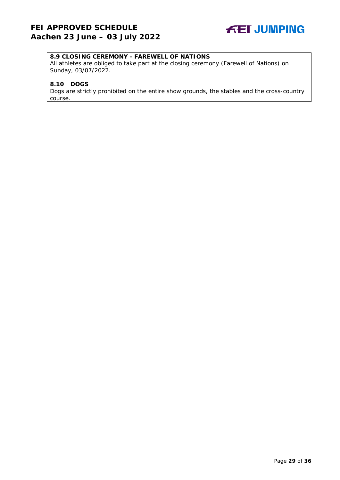

#### **8.9 CLOSING CEREMONY - FAREWELL OF NATIONS**

All athletes are obliged to take part at the closing ceremony (Farewell of Nations) on Sunday, 03/07/2022.

#### **8.10 DOGS**

Dogs are strictly prohibited on the entire show grounds, the stables and the cross-country course.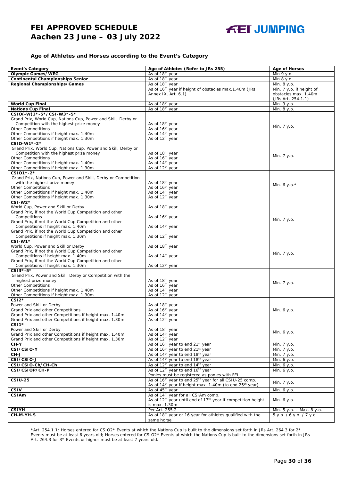#### **Age of Athletes and Horses according to the Event's Category**

| <b>Event's Category</b>                                                                       | Age of Athletes (Refer to JRs 255)                                                   | <b>Age of Horses</b>      |
|-----------------------------------------------------------------------------------------------|--------------------------------------------------------------------------------------|---------------------------|
| <b>Olympic Games/WEG</b>                                                                      | As of 18 <sup>th</sup> year                                                          | Min 9 y.o.                |
| <b>Continental Championships Senior</b>                                                       | As of 18 <sup>th</sup> year                                                          | Min 8 y.o.                |
| Regional Championships/Games                                                                  | As of 18 <sup>th</sup> year                                                          | Min. 8 y.o.               |
|                                                                                               | As of 16 <sup>th</sup> year if height of obstacles max.1.40m (JRs                    | Min. 7 y.o. if height of  |
|                                                                                               | Annex IX, Art. 6.1)                                                                  | obstacles max. 1.40m      |
|                                                                                               |                                                                                      | (JRs Art. 254.1.1)        |
| <b>World Cup Final</b>                                                                        | As of 18 <sup>th</sup> year                                                          | Min. 9 y.o.               |
| <b>Nations Cup Final</b>                                                                      | As of 18th year                                                                      | Min. 8 y.o.               |
| CSIO(-W)3*-5*/CSI-W3*-5*                                                                      |                                                                                      |                           |
| Grand Prix, World Cup, Nations Cup, Power and Skill, Derby or                                 |                                                                                      |                           |
| Competition with the highest prize money                                                      | As of 18 <sup>th</sup> year                                                          | Min. 7 y.o.               |
| <b>Other Competitions</b>                                                                     | As of 16 <sup>th</sup> year                                                          |                           |
| Other Competitions if height max. 1.40m                                                       | As of 14 <sup>th</sup> year                                                          |                           |
| Other Competitions if height max. 1.30m                                                       | As of 12 <sup>th</sup> year                                                          |                           |
| CSIO-W1*-2*                                                                                   |                                                                                      |                           |
| Grand Prix, World Cup, Nations Cup, Power and Skill, Derby or                                 |                                                                                      |                           |
| Competition with the highest prize money                                                      | As of 18 <sup>th</sup> year<br>As of 16 <sup>th</sup> year                           | Min. 7 y.o.               |
| <b>Other Competitions</b><br>Other Competitions if height max. 1.40m                          | As of 14 <sup>th</sup> year                                                          |                           |
| Other Competitions if height max. 1.30m                                                       | As of 12 <sup>th</sup> year                                                          |                           |
| CSI01*-2*                                                                                     |                                                                                      |                           |
| Grand Prix, Nations Cup, Power and Skill, Derby or Competition                                |                                                                                      |                           |
| with the highest prize money                                                                  | As of 18 <sup>th</sup> year                                                          |                           |
| <b>Other Competitions</b>                                                                     | As of 16 <sup>th</sup> year                                                          | Min. 6 y.o. $*$           |
| Other Competitions if height max. 1.40m                                                       | As of 14 <sup>th</sup> year                                                          |                           |
| Other Competitions if height max. 1.30m                                                       | As of 12 <sup>th</sup> year                                                          |                           |
| CSI-W2*                                                                                       |                                                                                      |                           |
| World Cup, Power and Skill or Derby                                                           | As of 18 <sup>th</sup> year                                                          |                           |
| Grand Prix, if not the World Cup Competition and other                                        |                                                                                      |                           |
| Competitions                                                                                  | As of 16 <sup>th</sup> year                                                          | Min. 7 y.o.               |
| Grand Prix, if not the World Cup Competition and other                                        |                                                                                      |                           |
| Competitions if height max. 1.40m                                                             | As of 14 <sup>th</sup> year                                                          |                           |
| Grand Prix, if not the World Cup Competition and other                                        |                                                                                      |                           |
| Competitions if height max. 1.30m                                                             | As of 12 <sup>th</sup> year                                                          |                           |
| CSI-W1*                                                                                       |                                                                                      |                           |
| World Cup, Power and Skill or Derby<br>Grand Prix, if not the World Cup Competition and other | As of 18 <sup>th</sup> year                                                          |                           |
| Competitions if height max. 1.40m                                                             | As of 14 <sup>th</sup> year                                                          | Min. 7 y.o.               |
| Grand Prix, if not the World Cup Competition and other                                        |                                                                                      |                           |
| Competitions if height max. 1.30m                                                             | As of 12 <sup>th</sup> year                                                          |                           |
| CSI3*-5*                                                                                      |                                                                                      |                           |
| Grand Prix, Power and Skill, Derby or Competition with the                                    |                                                                                      |                           |
| highest prize money                                                                           | As of 18 <sup>th</sup> year                                                          |                           |
| <b>Other Competitions</b>                                                                     | As of 16 <sup>th</sup> year                                                          | Min. 7 y.o.               |
| Other Competitions if height max. 1.40m                                                       | As of 14 <sup>th</sup> year                                                          |                           |
| Other Competitions if height max. 1.30m                                                       | As of 12 <sup>th</sup> year                                                          |                           |
| $CSI2*$                                                                                       |                                                                                      |                           |
| Power and Skill or Derby                                                                      | As of 18th year                                                                      |                           |
| Grand Prix and other Competitions                                                             | As of 16 <sup>th</sup> year                                                          | Min. 6 y.o.               |
| Grand Prix and other Competitions if height max. 1.40m                                        | As of 14 <sup>th</sup> year                                                          |                           |
| Grand Prix and other Competitions if height max. 1.30m<br>$CSI1*$                             | As of 12 <sup>th</sup> year                                                          |                           |
| Power and Skill or Derby                                                                      | As of 18 <sup>th</sup> year                                                          |                           |
| Grand Prix and other Competitions if height max. 1.40m                                        | As of 14 <sup>th</sup> year                                                          | Min. 6 y.o.               |
| Grand Prix and other Competitions if height max. 1.30m                                        | As of 12 <sup>th</sup> year                                                          |                           |
| CH-Y                                                                                          | As of 16 <sup>th</sup> year to end 21 <sup>st</sup> year                             | Min. 7 y.o.               |
| CSI/CSIO-Y                                                                                    | As of 16 <sup>th</sup> year to end 21 <sup>st</sup> year                             | Min. 7 y.o.               |
| CH-J                                                                                          | As of 14 <sup>th</sup> year to end 18 <sup>th</sup> year                             | Min. 7 y.o.               |
| CSI/CSIO-J                                                                                    | As of 14 <sup>th</sup> year to end 18 <sup>th</sup> year                             | Min. 6 y.o.               |
| CSI/CSIO-Ch/CH-Ch                                                                             | As of 12 <sup>th</sup> year to end 14 <sup>th</sup> year                             | Min. 6 y.o.               |
| CSI/CSIOP/CH-P                                                                                | As of 12 <sup>th</sup> year to end 16 <sup>th</sup> year                             | Min. 6 y.o.               |
|                                                                                               | Ponies must be registered as ponies with FEI                                         |                           |
| <b>CSIU-25</b>                                                                                | As of 16 <sup>th</sup> year to end 25 <sup>th</sup> year for all CSIU-25 comp.       |                           |
|                                                                                               | As of 14 <sup>th</sup> year if height max. 1.40m (to end 25 <sup>th</sup> year)      | Min. 7 y.o.               |
| <b>CSIV</b>                                                                                   | As of 45 <sup>th</sup> year                                                          | Min. 6 y.o.               |
| <b>CSIAm</b>                                                                                  | As of 14 <sup>th</sup> year for all CSIAm comp.                                      |                           |
|                                                                                               | As of 12 <sup>th</sup> year until end of 13 <sup>th</sup> year if competition height | Min. 6 y.o.               |
|                                                                                               | is max. 1.30m                                                                        |                           |
| <b>CSIYH</b>                                                                                  | Per Art. 255.2                                                                       | Min. 5 y.o. - Max. 8 y.o. |
| CH-M-YH-S                                                                                     | As of 18 <sup>th</sup> year or 16 year for athletes qualified with the               | 5 y.o. / 6 y.o. / 7 y.o.  |
|                                                                                               | same horse                                                                           |                           |

\*Art. 254.1.1: Horses entered for CSIO2\* Events at which the Nations Cup is built to the dimensions set forth in JRs Art. 264.3 for 2\* Events must be at least 6 years old; Horses entered for CSIO2\* Events at which the Nations Cup is built to the dimensions set forth in JRs Art. 264.3 for 3\* Events or higher must be at least 7 years old.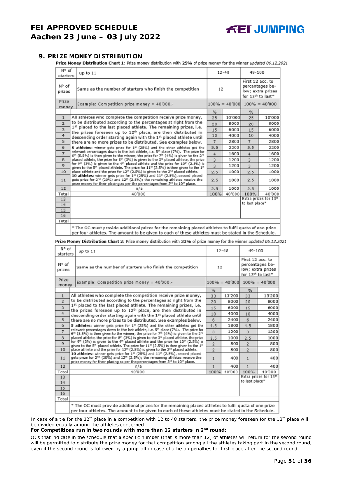#### <span id="page-30-0"></span>**9. PRIZE MONEY DISTRIBUTION**

Prize Money Distribution Chart 1: Prize money distribution with 25% of prize money for the winner updated 06.12.2021

| N° of<br>starters       | $12 - 48$<br>up to 11                                                                                                                                                                                                                                                           |      |        |                                                                                           | 49-100                            |  |
|-------------------------|---------------------------------------------------------------------------------------------------------------------------------------------------------------------------------------------------------------------------------------------------------------------------------|------|--------|-------------------------------------------------------------------------------------------|-----------------------------------|--|
| N° of<br>prizes         | Same as the number of starters who finish the competition                                                                                                                                                                                                                       | 12   |        | First 12 acc. to<br>percentages be-<br>low; extra prizes<br>for 13 <sup>th</sup> to last* |                                   |  |
| Prize<br>money          | Example: Competition prize money = $40'000$ .-                                                                                                                                                                                                                                  |      |        |                                                                                           | $100\% = 40'000$ $100\% = 40'000$ |  |
|                         |                                                                                                                                                                                                                                                                                 | %    |        | %                                                                                         |                                   |  |
| $\mathbf{1}$            | All athletes who complete the competition receive prize money,                                                                                                                                                                                                                  | 25   | 10'000 | 25                                                                                        | 10'000                            |  |
| $\overline{2}$          | to be distributed according to the percentages at right from the                                                                                                                                                                                                                | 20   | 8000   | 20                                                                                        | 8000                              |  |
| $\overline{\mathbf{3}}$ | 1st placed to the last placed athlete. The remaining prizes, i.e.<br>the prizes foreseen up to 12 <sup>th</sup> place, are then distributed in                                                                                                                                  | 15   | 6000   | 15                                                                                        | 6000                              |  |
| 4                       | descending order starting again with the 1st placed athlete until                                                                                                                                                                                                               | 10   | 4000   | 10                                                                                        | 4000                              |  |
| 5                       | there are no more prizes to be distributed. See examples below.                                                                                                                                                                                                                 | 7    | 2800   | $\overline{7}$                                                                            | 2800                              |  |
| 6                       | 5 athletes: winner gets prize for 1 <sup>#</sup> (25%) and the other athletes get the                                                                                                                                                                                           | 5.5  | 2200   | 5.5                                                                                       | 2200                              |  |
| $\overline{7}$          | relevant percentages down to the last athlete, i.e. 5th place (7%). The prize for<br>$6th$ (5.5%) is then given to the winner, the prize for 7 <sup>th</sup> (4%) is given to the 2 <sup>nd</sup>                                                                               | 4    | 1600   | 4                                                                                         | 1600                              |  |
| 8                       | placed athlete, the prize for 8th (3%) is given to the 3rd placed athlete, the prize                                                                                                                                                                                            | 3    | 1200   | 3                                                                                         | 1200                              |  |
| $\mathbf{Q}$            | for 9 <sup>th</sup> (3%) is given to the 4 <sup>th</sup> placed athlete and the prize for 10 <sup>th</sup> (2.5%) is<br>given to the 5 <sup>th</sup> placed athlete. The prize for 11 <sup>th</sup> (2.5%) is then given to the 1 <sup>th</sup>                                 | 3    | 1200   | $\overline{3}$                                                                            | 1200                              |  |
| 10                      | place athlete and the prize for 12 <sup>th</sup> (2.5%) is given to the 2 <sup>nd</sup> placed athlete.                                                                                                                                                                         | 2.5  | 1000   | 2.5                                                                                       | 1000                              |  |
| 11                      | 10 athletes: winner gets prize for 1st (25%) and 11th (2.5%), second placed<br>gets prize for 2 <sup>nd</sup> (20%) and 12 <sup>th</sup> (2.5%); the remaining athletes receive the<br>prize money for their placing as per the percentages from 3rd to 10 <sup>th</sup> place. | 2.5  | 1000   | 2.5                                                                                       | 1000                              |  |
| 12                      | n/a                                                                                                                                                                                                                                                                             | 2.5  | 1000   | 2.5                                                                                       | 1000                              |  |
| Total                   | 40'000                                                                                                                                                                                                                                                                          | 100% | 40'000 | 100%                                                                                      | 40'000                            |  |
| 13                      |                                                                                                                                                                                                                                                                                 |      |        | to last place*                                                                            | Extra prizes for 13th             |  |
| 14                      |                                                                                                                                                                                                                                                                                 |      |        |                                                                                           |                                   |  |
| 15                      |                                                                                                                                                                                                                                                                                 |      |        |                                                                                           |                                   |  |
| 16<br>Total             |                                                                                                                                                                                                                                                                                 |      |        |                                                                                           |                                   |  |
|                         |                                                                                                                                                                                                                                                                                 |      |        |                                                                                           |                                   |  |
|                         | * The OC must provide additional prizes for the remaining placed athletes to fulfil quota of one prize<br>per four athletes. The amount to be given to each of these athletes must be stated in the Schedule.                                                                   |      |        |                                                                                           |                                   |  |
|                         |                                                                                                                                                                                                                                                                                 |      |        |                                                                                           |                                   |  |

Prize Money Distribution Chart 2: Prize money distribution with 33% of prize money for the winner updated 06.12.2021

| N° of<br>starters | up to $11$                                                                                                                                                                                                                                                          | $12 - 48$      | 49-100 |                                                                                           |                                   |
|-------------------|---------------------------------------------------------------------------------------------------------------------------------------------------------------------------------------------------------------------------------------------------------------------|----------------|--------|-------------------------------------------------------------------------------------------|-----------------------------------|
| N° of<br>prizes   | Same as the number of starters who finish the competition                                                                                                                                                                                                           | 12             |        | First 12 acc. to<br>percentages be-<br>low; extra prizes<br>for 13 <sup>th</sup> to last* |                                   |
| Prize<br>money    | Example: Competition prize money = 40'000.-                                                                                                                                                                                                                         |                |        |                                                                                           | $100\% = 40'000$ $100\% = 40'000$ |
|                   |                                                                                                                                                                                                                                                                     | $\frac{9}{6}$  |        | %                                                                                         |                                   |
| $\mathbf{1}$      | All athletes who complete the competition receive prize money,                                                                                                                                                                                                      | 33             | 13'200 | 33                                                                                        | 13'200                            |
| $\overline{2}$    | to be distributed according to the percentages at right from the                                                                                                                                                                                                    | 20             | 8000   | 20                                                                                        | 8000                              |
| 3                 | 1st placed to the last placed athlete. The remaining prizes, i.e.<br>the prizes foreseen up to 12 <sup>th</sup> place, are then distributed in                                                                                                                      | 15             | 6000   | 15                                                                                        | 6000                              |
| 4                 | descending order starting again with the 1st placed athlete until                                                                                                                                                                                                   | 10             | 4000   | 10                                                                                        | 4000                              |
| 5                 | there are no more prizes to be distributed. See examples below.                                                                                                                                                                                                     | 6              | 2400   | 6                                                                                         | 2400                              |
| 6                 | 5 athletes: winner gets prize for $1st$ (25%) and the other athletes get the                                                                                                                                                                                        | 4.5            | 1800   | 4.5                                                                                       | 1800                              |
| $\overline{7}$    | relevant percentages down to the last athlete, i.e. 5 <sup>th</sup> place (7%). The prize for<br>6 <sup>th</sup> (5.5%) is then given to the winner, the prize for 7 <sup>th</sup> (4%) is given to the 2 <sup>nd</sup>                                             | 3              | 1200   | $\overline{3}$                                                                            | 1200                              |
| 8                 | placed athlete, the prize for 8th (3%) is given to the 3 <sup>rd</sup> placed athlete, the prize                                                                                                                                                                    | 2.5            | 1000   | 2.5                                                                                       | 1000                              |
| $\mathbf Q$       | for 9th (3%) is given to the 4th placed athlete and the prize for 10th (2.5%) is<br>given to the 5 <sup>th</sup> placed athlete. The prize for 11 <sup>th</sup> (2.5%) is then given to the 1 <sup>st</sup>                                                         | $\overline{2}$ | 800    | $\overline{2}$                                                                            | 800                               |
| 10                | place athlete and the prize for 12 <sup>th</sup> (2.5%) is given to the 2 <sup>rd</sup> placed athlete.                                                                                                                                                             | $\overline{2}$ | 800    | $\overline{2}$                                                                            | 800                               |
| 11                | 10 athletes: winner gets prize for 1st (25%) and 11th (2.5%), second placed<br>gets prize for 2 <sup>nd</sup> (20%) and 12 <sup>th</sup> (2.5%); the remaining athletes receive the<br>prize money for their placing as per the percentages from 3rd to 10th place. | $\mathbf{1}$   | 400    | $\mathbf{1}$                                                                              | 400                               |
| 12                | n/a                                                                                                                                                                                                                                                                 | 1              | 400    | 1                                                                                         | 400                               |
| Total             | 40'000                                                                                                                                                                                                                                                              | 100%           | 40'000 | 100%                                                                                      | 40'000                            |
| 13                |                                                                                                                                                                                                                                                                     |                |        |                                                                                           | Extra prizes for 13th             |
| 14                |                                                                                                                                                                                                                                                                     |                |        | to last place*                                                                            |                                   |
| 15                |                                                                                                                                                                                                                                                                     |                |        |                                                                                           |                                   |
| 16                |                                                                                                                                                                                                                                                                     |                |        |                                                                                           |                                   |
| Total             |                                                                                                                                                                                                                                                                     |                |        |                                                                                           |                                   |
|                   | * The OC must provide additional prizes for the remaining placed athletes to fulfil quota of one prize<br>per four athletes. The amount to be given to each of these athletes must be stated in the Schedule.                                                       |                |        |                                                                                           |                                   |

In case of a tie for the 12<sup>th</sup> place in a competition with 12 to 48 starters, the prize money foreseen for the 12<sup>th</sup> place will be divided equally among the athletes concerned.

#### **For Competitions run in two rounds with more than 12 starters in 2nd round:**

*OCs that indicate in the schedule that a specific number (that is more than 12) of athletes will return for the second round will be permitted to distribute the prize money for that competition among all the athletes taking part in the second round, even if the second round is followed by a jump-off in case of a tie on penalties for first place after the second round.*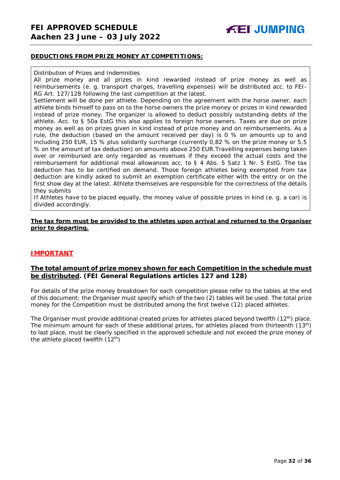#### **DEDUCTIONS FROM PRIZE MONEY AT COMPETITIONS:**

#### Distribution of Prizes and Indemnities

All prize money and all prizes in kind rewarded instead of prize money as well as reimbursements (e. g. transport charges, travelling expenses) will be distributed acc. to FEI-RG Art. 127/128 following the last competition at the latest.

Settlement will be done per athlete. Depending on the agreement with the horse owner, each athlete binds himself to pass on to the horse owners the prize money or prizes in kind rewarded instead of prize money. The organizer is allowed to deduct possibly outstanding debts of the athlete. Acc. to § 50a EstG this also applies to foreign horse owners. Taxes are due on prize money as well as on prizes given in kind instead of prize money and on reimbursements. As a rule, the deduction (based on the amount received per day) is 0 % on amounts up to and including 250 EUR, 15 % plus solidarity surcharge (currently 0,82 % on the prize money or 5,5 % on the amount of tax deduction) on amounts above 250 EUR.Travelling expenses being taken over or reimbursed are only regarded as revenues if they exceed the actual costs and the reimbursement for additional meal allowances acc. to § 4 Abs. 5 Satz 1 Nr. 5 EstG. The tax deduction has to be certified on demand. Those foreign athletes being exempted from tax deduction are kindly asked to submit an exemption certificate either with the entry or on the first show day at the latest. Athlete themselves are responsible for the correctness of the details they submits

If Athletes have to be placed equally, the money value of possible prizes in kind (e. g. a car) is divided accordingly.

#### **The tax form must be provided to the athletes upon arrival and returned to the Organiser prior to departing.**

#### **IMPORTANT**

#### **The total amount of prize money shown for each Competition in the schedule must be distributed. (FEI General Regulations articles 127 and 128)**

For details of the prize money breakdown for each competition please refer to the tables at the end of this document; the Organiser must specify which of the two (2) tables will be used. The total prize money for the Competition must be distributed among the first twelve (12) placed athletes.

<span id="page-31-0"></span>The Organiser must provide additional created prizes for athletes placed beyond twelfth  $(12<sup>th</sup>)$  place. The minimum amount for each of these additional prizes, for athletes placed from thirteenth (13<sup>th</sup>) to last place, must be clearly specified in the approved schedule and not exceed the prize money of the athlete placed twelfth  $(12<sup>th</sup>)$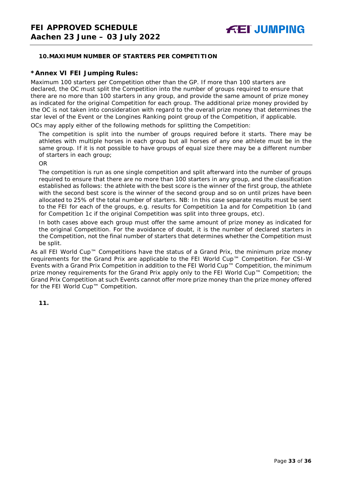#### **10.MAXIMUM NUMBER OF STARTERS PER COMPETITION**

#### **\*Annex VI FEI Jumping Rules:**

Maximum 100 starters per Competition other than the GP. If more than 100 starters are declared, the OC must split the Competition into the number of groups required to ensure that there are no more than 100 starters in any group, and provide the same amount of prize money as indicated for the original Competition for each group. The additional prize money provided by the OC is not taken into consideration with regard to the overall prize money that determines the star level of the Event or the Longines Ranking point group of the Competition, if applicable.

OCs may apply either of the following methods for splitting the Competition:

The competition is split into the number of groups required before it starts. There may be athletes with multiple horses in each group but all horses of any one athlete must be in the same group. If it is not possible to have groups of equal size there may be a different number of starters in each group;

OR

The competition is run as one single competition and split afterward into the number of groups required to ensure that there are no more than 100 starters in any group, and the classification established as follows: the athlete with the best score is the winner of the first group, the athlete with the second best score is the winner of the second group and so on until prizes have been allocated to 25% of the total number of starters. *NB: In this case separate results must be sent to the FEI for each of the groups, e.g. results for Competition 1a and for Competition 1b (and for Competition 1c if the original Competition was split into three groups, etc).*

In both cases above each group must offer the same amount of prize money as indicated for the original Competition. For the avoidance of doubt, it is the number of declared starters in the Competition, not the final number of starters that determines whether the Competition must be split.

As all FEI World Cup™ Competitions have the status of a Grand Prix, the minimum prize money requirements for the Grand Prix are applicable to the FEI World Cup™ Competition. For CSI-W Events with a Grand Prix Competition in addition to the FEI World Cup™ Competition, the minimum prize money requirements for the Grand Prix apply only to the FEI World Cup™ Competition; the Grand Prix Competition at such Events cannot offer more prize money than the prize money offered for the FEI World Cup™ Competition.

<span id="page-32-0"></span>**11.**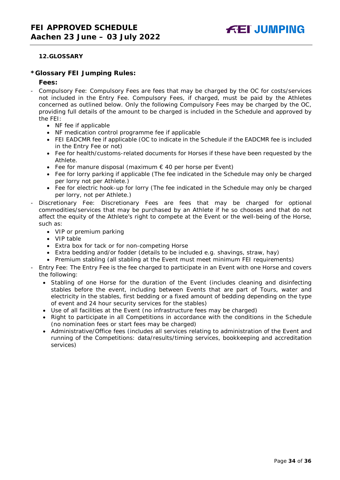#### **12.GLOSSARY**

#### **\*Glossary FEI Jumping Rules:**

#### **Fees:**

- Compulsory Fee: Compulsory Fees are fees that may be charged by the OC for costs/services not included in the Entry Fee. Compulsory Fees, if charged, must be paid by the Athletes concerned as outlined below. Only the following Compulsory Fees may be charged by the OC, providing full details of the amount to be charged is included in the Schedule and approved by the FEI:
	- NF fee if applicable
	- NF medication control programme fee if applicable
	- FEI EADCMR fee if applicable (OC to indicate in the Schedule if the EADCMR fee is included in the Entry Fee or not)
	- Fee for health/customs-related documents for Horses if these have been requested by the Athlete.
	- Fee for manure disposal (maximum  $\epsilon$  40 per horse per Event)
	- Fee for lorry parking if applicable (The fee indicated in the Schedule may only be charged per lorry not per Athlete.)
	- Fee for electric hook-up for lorry (The fee indicated in the Schedule may only be charged per lorry, not per Athlete.)
- Discretionary Fee: Discretionary Fees are fees that may be charged for optional commodities/services that may be purchased by an Athlete if he so chooses and that do not affect the equity of the Athlete's right to compete at the Event or the well-being of the Horse, such as:
	- VIP or premium parking
	- VIP table
	- Extra box for tack or for non-competing Horse
	- Extra bedding and/or fodder (details to be included e.g. shavings, straw, hay)
	- Premium stabling (all stabling at the Event must meet minimum FEI requirements)
- Entry Fee: The Entry Fee is the fee charged to participate in an Event with one Horse and covers the following:
	- Stabling of one Horse for the duration of the Event (includes cleaning and disinfecting stables before the event, including between Events that are part of Tours, water and electricity in the stables, first bedding or a fixed amount of bedding depending on the type of event and 24 hour security services for the stables)
	- Use of all facilities at the Event (no infrastructure fees may be charged)
	- Right to participate in all Competitions in accordance with the conditions in the Schedule (no nomination fees or start fees may be charged)
	- Administrative/Office fees (includes all services relating to administration of the Event and running of the Competitions: data/results/timing services, bookkeeping and accreditation services)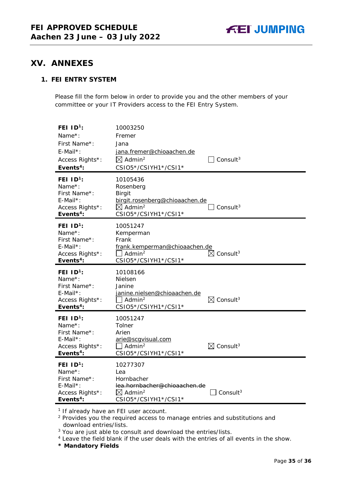## <span id="page-34-0"></span>**XV. ANNEXES**

### **1. FEI ENTRY SYSTEM**

Please fill the form below in order to provide you and the other members of your committee or your IT Providers access to the FEI Entry System.

| FEI $1D^1$ :<br>Name $*$ :<br>First Name*:<br>E-Mail*:<br>Access Rights*:<br>Events <sup>4</sup> :         | 10003250<br>Fremer<br>Jana<br>jana.fremer@chioaachen.de<br>$\boxtimes$ Admin <sup>2</sup><br>CSIO5*/CSIYH1*/CSI1*                  | $\Box$ Consult <sup>3</sup>      |
|------------------------------------------------------------------------------------------------------------|------------------------------------------------------------------------------------------------------------------------------------|----------------------------------|
| FEI $1D^1$ :<br>Name $*$ :<br>First Name*:<br>$E$ -Mail*:<br>Access Rights*:<br>Events <sup>4</sup> :      | 10105436<br>Rosenberg<br><b>Birgit</b><br>birgit.rosenberg@chioaachen.de<br>$\boxtimes$ Admin <sup>2</sup><br>CSIO5*/CSIYH1*/CSI1* | Consult $3$                      |
| FEI ID <sup>1</sup> :<br>Name*:<br>First Name*:<br>$E$ -Mail*:<br>Access Rights*:<br>Events <sup>4</sup> : | 10051247<br>Kemperman<br>Frank<br>frank.kemperman@chioaachen.de<br>$\Box$ Admin <sup>2</sup><br>CSIO5*/CSIYH1*/CSI1*               | $\boxtimes$ Consult <sup>3</sup> |
| FEI $1D^1$ :<br>Name*:                                                                                     | 10108166                                                                                                                           |                                  |
| First Name*:<br>$E$ -Mail*:<br>Access Rights*:<br>Events <sup>4</sup> :                                    | <b>Nielsen</b><br>Janine<br>janine.nielsen@chioaachen.de<br>$\Box$ Admin <sup>2</sup><br>CSIO5*/CSIYH1*/CSI1*                      | $\boxtimes$ Consult <sup>3</sup> |
| FEI ID <sup>1</sup> :<br>Name*:<br>First Name*:<br>$E$ -Mail*:<br>Access Rights*:<br>Events <sup>4</sup> : | 10051247<br>Tolner<br>Arien<br>arie@scqvisual.com<br>$\Box$ Admin <sup>2</sup><br>CSIO5*/CSIYH1*/CSI1*                             | $\boxtimes$ Consult <sup>3</sup> |

<sup>1</sup> If already have an FEI user account.

<sup>2</sup> Provides you the required access to manage entries and substitutions and download entries/lists.

<sup>3</sup> You are just able to consult and download the entries/lists.

<sup>4</sup> Leave the field blank if the user deals with the entries of all events in the show.

**\* Mandatory Fields**